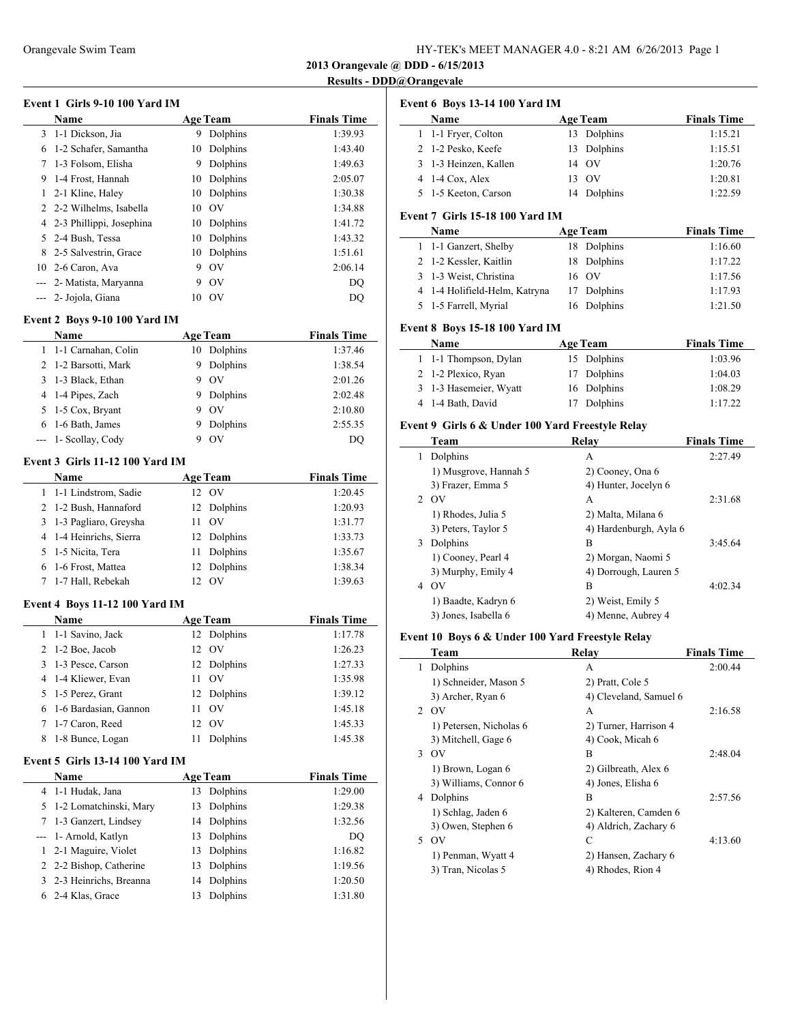| HY-TEK's MEET MANAGER 4.0 - 8:21 AM 6/26/2013 Page 1 |  |  |
|------------------------------------------------------|--|--|
|------------------------------------------------------|--|--|

### **Results - DDD@Orangevale**

| Event 1 Girls 9-10 100 Yard IM |  |
|--------------------------------|--|
|--------------------------------|--|

|   | <b>Name</b>                |    | <b>Age Team</b> | <b>Finals Time</b> |
|---|----------------------------|----|-----------------|--------------------|
|   | 3 1-1 Dickson, Jia         | 9  | Dolphins        | 1:39.93            |
| 6 | 1-2 Schafer, Samantha      | 10 | Dolphins        | 1:43.40            |
| 7 | 1-3 Folsom, Elisha         | 9  | Dolphins        | 1:49.63            |
| 9 | 1-4 Frost, Hannah          | 10 | Dolphins        | 2:05.07            |
| 1 | 2-1 Kline, Haley           | 10 | Dolphins        | 1:30.38            |
|   | 2 2-2 Wilhelms, Isabella   | 10 | - OV            | 1:34.88            |
|   | 4 2-3 Phillippi, Josephina | 10 | Dolphins        | 1:41.72            |
|   | 5 2-4 Bush, Tessa          | 10 | Dolphins        | 1:43.32            |
| 8 | 2-5 Salvestrin, Grace      | 10 | Dolphins        | 1:51.61            |
|   | 10 2-6 Caron, Ava          | 9  | O <sub>V</sub>  | 2:06.14            |
|   | --- 2- Matista, Maryanna   | 9  | O <sub>V</sub>  | DO                 |
|   | --- 2- Jojola, Giana       | 10 | O <sub>V</sub>  | DO                 |
|   |                            |    |                 |                    |

## **Event 2 Boys 9-10 100 Yard IM**

| <b>Name</b>           |   | <b>Age Team</b> | <b>Finals Time</b> |
|-----------------------|---|-----------------|--------------------|
| 1 1-1 Carnahan, Colin |   | 10 Dolphins     | 1:37.46            |
| 2 1-2 Barsotti, Mark  | 9 | Dolphins        | 1:38.54            |
| 3 1-3 Black, Ethan    | 9 | $\overline{O}$  | 2:01.26            |
| 4 1-4 Pipes, Zach     | 9 | Dolphins        | 2:02.48            |
| 5 1-5 Cox, Bryant     | 9 | OV              | 2:10.80            |
| 6 1-6 Bath, James     | 9 | Dolphins        | 2:55.35            |
| --- 1- Scollay, Cody  |   | O <sub>V</sub>  | DO                 |

## **Event 3 Girls 11-12 100 Yard IM**

| Name                    | <b>Age Team</b> |             | <b>Finals Time</b> |
|-------------------------|-----------------|-------------|--------------------|
| 1 1-1 Lindstrom, Sadie  |                 | 12 OV       | 1:20.45            |
| 2 1-2 Bush, Hannaford   |                 | 12 Dolphins | 1:20.93            |
| 3 1-3 Pagliaro, Greysha | 11              | - OV        | 1:31.77            |
| 4 1-4 Heinrichs, Sierra |                 | 12 Dolphins | 1:33.73            |
| 5 1-5 Nicita, Tera      | 11              | Dolphins    | 1:35.67            |
| 6 1-6 Frost, Mattea     |                 | 12 Dolphins | 1:38.34            |
| 7 1-7 Hall, Rebekah     |                 | OV          | 1:39.63            |

#### **Event 4 Boys 11-12 100 Yard IM**

|   | <b>Name</b>              | <b>Age Team</b>       | <b>Finals Time</b> |
|---|--------------------------|-----------------------|--------------------|
|   | 1 1-1 Savino, Jack       | 12 Dolphins           | 1:17.78            |
|   | $2 \quad 1-2$ Boe, Jacob | 12 OV                 | 1:26.23            |
|   | 3 1-3 Pesce, Carson      | 12 Dolphins           | 1:27.33            |
|   | 4 1-4 Kliewer, Evan      | OV<br>11              | 1:35.98            |
|   | 5 1-5 Perez, Grant       | 12 Dolphins           | 1:39.12            |
|   | 6 1-6 Bardasian, Gannon  | $\overline{O}$<br>11  | 1:45.18            |
|   | 7 1-7 Caron, Reed        | OV<br>12 <sub>1</sub> | 1:45.33            |
| 8 | 1-8 Bunce, Logan         | Dolphins              | 1:45.38            |

### **Event 5 Girls 13-14 100 Yard IM**

| Name                     | <b>Age Team</b> | <b>Finals Time</b> |
|--------------------------|-----------------|--------------------|
| 4 1-1 Hudak, Jana        | Dolphins<br>13  | 1:29.00            |
| 5 1-2 Lomatchinski, Mary | Dolphins<br>13  | 1:29.38            |
| 7 1-3 Ganzert, Lindsey   | 14 Dolphins     | 1:32.56            |
| --- 1- Arnold, Katlyn    | Dolphins<br>13  | DO                 |
| 1 2-1 Maguire, Violet    | Dolphins<br>13  | 1:16.82            |
| 2 2-2 Bishop, Catherine  | Dolphins<br>13  | 1:19.56            |
| 3 2-3 Heinrichs, Breanna | Dolphins<br>14  | 1:20.50            |
| 6 2-4 Klas, Grace        | Dolphins<br>13  | 1:31.80            |

|                | Event 6 Boys 13-14 100 Yard IM                   |    |                         |                    |
|----------------|--------------------------------------------------|----|-------------------------|--------------------|
|                | Name                                             |    | <b>Age Team</b>         | <b>Finals Time</b> |
| 1              | 1-1 Fryer, Colton                                |    | 13 Dolphins             | 1:15.21            |
| $\overline{2}$ | 1-2 Pesko, Keefe                                 |    | 13 Dolphins             | 1:15.51            |
| 3              | 1-3 Heinzen, Kallen                              |    | 14 OV                   | 1:20.76            |
| 4              | 1-4 Cox, Alex                                    |    | 13 OV                   | 1:20.81            |
| 5              | 1-5 Keeton, Carson                               |    | 14 Dolphins             | 1:22.59            |
|                | Event 7 Girls 15-18 100 Yard IM                  |    |                         |                    |
|                | Name                                             |    | <b>Age Team</b>         | <b>Finals Time</b> |
| $\mathbf{1}$   | 1-1 Ganzert, Shelby                              |    | 18 Dolphins             | 1:16.60            |
| $\overline{2}$ | 1-2 Kessler, Kaitlin                             | 18 | Dolphins                | 1:17.22            |
| 3              | 1-3 Weist, Christina                             |    | 16 OV                   | 1:17.56            |
| 4              |                                                  |    |                         |                    |
|                | 1-4 Holifield-Helm, Katryna                      |    | 17 Dolphins<br>Dolphins | 1:17.93            |
| 5              | 1-5 Farrell, Myrial                              | 16 |                         | 1:21.50            |
|                | <b>Event 8 Boys 15-18 100 Yard IM</b>            |    |                         |                    |
|                | Name                                             |    | <b>Age Team</b>         | <b>Finals Time</b> |
| 1              | 1-1 Thompson, Dylan                              |    | 15 Dolphins             | 1:03.96            |
| $\overline{2}$ | 1-2 Plexico, Ryan                                |    | 17 Dolphins             | 1:04.03            |
| 3              | 1-3 Hasemeier, Wyatt                             |    | 16 Dolphins             | 1:08.29            |
| 4              | 1-4 Bath, David                                  |    | 17 Dolphins             | 1:17.22            |
|                | Event 9 Girls 6 & Under 100 Yard Freestyle Relay |    |                         |                    |
|                | Team                                             |    | Relay                   | <b>Finals Time</b> |
|                | 1 Dolphins                                       |    | A                       | 2:27.49            |
|                | 1) Musgrove, Hannah 5                            |    | 2) Cooney, Ona 6        |                    |
|                | 3) Frazer, Emma 5                                |    | 4) Hunter, Jocelyn 6    |                    |
| $\overline{2}$ | OV                                               |    | A                       | 2:31.68            |
|                | 1) Rhodes, Julia 5                               |    | 2) Malta, Milana 6      |                    |
|                | 3) Peters, Taylor 5                              |    | 4) Hardenburgh, Ayla 6  |                    |
|                | 3 Dolphins                                       |    | B                       | 3:45.64            |
|                | 1) Cooney, Pearl 4                               |    | 2) Morgan, Naomi 5      |                    |
|                | 3) Murphy, Emily 4                               |    | 4) Dorrough, Lauren 5   |                    |
|                | 4 OV                                             |    | B                       | 4:02.34            |
|                | 1) Baadte, Kadryn 6                              |    | 2) Weist, Emily 5       |                    |
|                | 3) Jones, Isabella 6                             |    | 4) Menne, Aubrey 4      |                    |
|                | Event 10 Boys 6 & Under 100 Yard Freestyle Relay |    |                         |                    |
|                | Team                                             |    | Relay                   | <b>Finals Time</b> |
|                | 1 Dolphins                                       |    | A                       | 2:00.44            |
|                | 1) Schneider, Mason 5                            |    | 2) Pratt, Cole 5        |                    |
|                | 3) Archer, Ryan 6                                |    | 4) Cleveland, Samuel 6  |                    |
|                | 2 OV                                             |    | A                       | 2:16.58            |
|                | 1) Petersen, Nicholas 6                          |    | 2) Turner, Harrison 4   |                    |
|                | 3) Mitchell, Gage 6                              |    | 4) Cook, Micah 6        |                    |
|                | $3$ OV                                           |    | B                       | 2:48.04            |
|                | 1) Brown, Logan 6                                |    | 2) Gilbreath, Alex 6    |                    |
|                | 3) Williams, Connor 6                            |    | 4) Jones, Elisha 6      |                    |
|                | 4 Dolphins                                       |    | B                       | 2:57.56            |
|                | 1) Schlag, Jaden 6                               |    | 2) Kalteren, Camden 6   |                    |
|                | 3) Owen, Stephen 6                               |    | 4) Aldrich, Zachary 6   |                    |
|                | 5 OV                                             |    | С                       | 4:13.60            |
|                | 1) Penman, Wyatt 4                               |    | 2) Hansen, Zachary 6    |                    |
|                | 3) Tran, Nicolas 5                               |    | 4) Rhodes, Rion 4       |                    |
|                |                                                  |    |                         |                    |
|                |                                                  |    |                         |                    |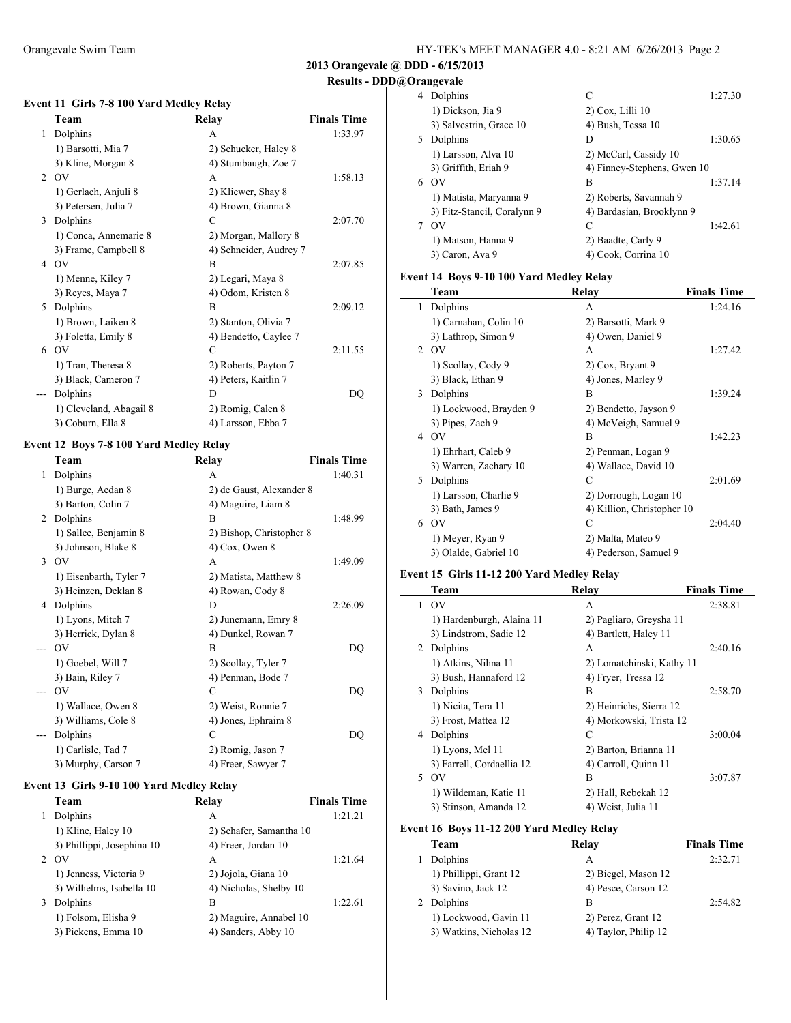| HY-TEK's MEET MANAGER 4.0 - 8:21 AM 6/26/2013 Page 2 |  |
|------------------------------------------------------|--|
|------------------------------------------------------|--|

**2013 Orangevale @ DDD - 6/15/2013**

## **Results - DDD@Orangevale**

|     | Team                    | Relay                  | <b>Finals Time</b> |
|-----|-------------------------|------------------------|--------------------|
| 1   | Dolphins                | A                      | 1:33.97            |
|     | 1) Barsotti, Mia 7      | 2) Schucker, Haley 8   |                    |
|     | 3) Kline, Morgan 8      | 4) Stumbaugh, Zoe 7    |                    |
|     | $2$ OV                  | А                      | 1:58.13            |
|     | 1) Gerlach, Anjuli 8    | 2) Kliewer, Shay 8     |                    |
|     | 3) Petersen, Julia 7    | 4) Brown, Gianna 8     |                    |
| 3   | Dolphins                | C                      | 2:07.70            |
|     | 1) Conca, Annemarie 8   | 2) Morgan, Mallory 8   |                    |
|     | 3) Frame, Campbell 8    | 4) Schneider, Audrey 7 |                    |
| 4   | O <sub>V</sub>          | B                      | 2:07.85            |
|     | 1) Menne, Kiley 7       | 2) Legari, Maya 8      |                    |
|     | 3) Reyes, Maya 7        | 4) Odom, Kristen 8     |                    |
| 5   | Dolphins                | B                      | 2:09.12            |
|     | 1) Brown, Laiken 8      | 2) Stanton, Olivia 7   |                    |
|     | 3) Foletta, Emily 8     | 4) Bendetto, Caylee 7  |                    |
| 6   | OV                      | C                      | 2:11.55            |
|     | 1) Tran, Theresa 8      | 2) Roberts, Payton 7   |                    |
|     | 3) Black, Cameron 7     | 4) Peters, Kaitlin 7   |                    |
| --- | Dolphins                | D                      | DQ                 |
|     | 1) Cleveland, Abagail 8 | 2) Romig, Calen 8      |                    |
|     | 3) Coburn, Ella 8       | 4) Larsson, Ebba 7     |                    |

## **Event 12 Boys 7-8 100 Yard Medley Relay**

|   | Team                   | Relay                    | <b>Finals Time</b> |
|---|------------------------|--------------------------|--------------------|
| 1 | Dolphins               | A                        | 1:40.31            |
|   | 1) Burge, Aedan 8      | 2) de Gaust, Alexander 8 |                    |
|   | 3) Barton, Colin 7     | 4) Maguire, Liam 8       |                    |
| 2 | Dolphins               | B                        | 1:48.99            |
|   | 1) Sallee, Benjamin 8  | 2) Bishop, Christopher 8 |                    |
|   | 3) Johnson, Blake 8    | $4)$ Cox, Owen 8         |                    |
| 3 | OV                     | A                        | 1:49.09            |
|   | 1) Eisenbarth, Tyler 7 | 2) Matista, Matthew 8    |                    |
|   | 3) Heinzen, Deklan 8   | 4) Rowan, Cody 8         |                    |
| 4 | Dolphins               | D                        | 2:26.09            |
|   | 1) Lyons, Mitch 7      | 2) Junemann, Emry 8      |                    |
|   | 3) Herrick, Dylan 8    | 4) Dunkel, Rowan 7       |                    |
|   | O <sub>V</sub>         | B                        | DQ                 |
|   | 1) Goebel, Will 7      | 2) Scollay, Tyler 7      |                    |
|   | 3) Bain, Riley 7       | 4) Penman, Bode 7        |                    |
|   | O <sub>V</sub>         | C                        | DQ                 |
|   | 1) Wallace, Owen 8     | 2) Weist, Ronnie 7       |                    |
|   | 3) Williams, Cole 8    | 4) Jones, Ephraim 8      |                    |
|   | Dolphins               | C                        | DQ                 |
|   | 1) Carlisle, Tad 7     | 2) Romig, Jason 7        |                    |
|   | 3) Murphy, Carson 7    | 4) Freer, Sawyer 7       |                    |

### **Event 13 Girls 9-10 100 Yard Medley Relay**

|   | Team                       | Relay                   | <b>Finals Time</b> |
|---|----------------------------|-------------------------|--------------------|
|   | Dolphins                   | А                       | 1:21.21            |
|   | 1) Kline, Haley 10         | 2) Schafer, Samantha 10 |                    |
|   | 3) Phillippi, Josephina 10 | 4) Freer, Jordan 10     |                    |
|   | $2\sqrt{OV}$               | A                       | 1:21.64            |
|   | 1) Jenness, Victoria 9     | 2) Jojola, Giana 10     |                    |
|   | 3) Wilhelms, Isabella 10   | 4) Nicholas, Shelby 10  |                    |
| 3 | Dolphins                   | B                       | 1:22.61            |
|   | 1) Folsom, Elisha 9        | 2) Maguire, Annabel 10  |                    |
|   | 3) Pickens, Emma 10        | 4) Sanders, Abby 10     |                    |

| 4  | Dolphins                    | C                           | 1:27.30 |
|----|-----------------------------|-----------------------------|---------|
|    | 1) Dickson, Jia 9           | $2)$ Cox, Lilli 10          |         |
|    | 3) Salvestrin, Grace 10     | 4) Bush, Tessa 10           |         |
| 5. | Dolphins                    | D                           | 1:30.65 |
|    | 1) Larsson, Alva 10         | 2) McCarl, Cassidy 10       |         |
|    | 3) Griffith, Eriah 9        | 4) Finney-Stephens, Gwen 10 |         |
| 6  | OV                          | B                           | 1:37.14 |
|    | 1) Matista, Maryanna 9      | 2) Roberts, Savannah 9      |         |
|    | 3) Fitz-Stancil, Coralynn 9 | 4) Bardasian, Brooklynn 9   |         |
|    | OV                          | C                           | 1:42.61 |
|    | 1) Matson, Hanna 9          | 2) Baadte, Carly 9          |         |
|    | 3) Caron, Ava 9             | 4) Cook, Corrina 10         |         |

## **Event 14 Boys 9-10 100 Yard Medley Relay**

|    | Team                   | Relay                      | <b>Finals Time</b> |
|----|------------------------|----------------------------|--------------------|
| 1  | Dolphins               | A                          | 1:24.16            |
|    | 1) Carnahan, Colin 10  | 2) Barsotti, Mark 9        |                    |
|    | 3) Lathrop, Simon 9    | 4) Owen, Daniel 9          |                    |
|    | 2 OV                   | A                          | 1:27.42            |
|    | 1) Scollay, Cody 9     | 2) Cox, Bryant 9           |                    |
|    | 3) Black, Ethan 9      | 4) Jones, Marley 9         |                    |
| 3  | Dolphins               | B                          | 1:39.24            |
|    | 1) Lockwood, Brayden 9 | 2) Bendetto, Jayson 9      |                    |
|    | 3) Pipes, Zach 9       | 4) McVeigh, Samuel 9       |                    |
|    | 4 OV                   | B                          | 1:42.23            |
|    | 1) Ehrhart, Caleb 9    | 2) Penman, Logan 9         |                    |
|    | 3) Warren, Zachary 10  | 4) Wallace, David 10       |                    |
| 5. | Dolphins               | C                          | 2:01.69            |
|    | 1) Larsson, Charlie 9  | 2) Dorrough, Logan 10      |                    |
|    | 3) Bath, James 9       | 4) Killion, Christopher 10 |                    |
| 6  | $\rm OV$               | C                          | 2:04.40            |
|    | 1) Meyer, Ryan 9       | 2) Malta, Mateo 9          |                    |
|    | 3) Olalde, Gabriel 10  | 4) Pederson, Samuel 9      |                    |

## **Event 15 Girls 11-12 200 Yard Medley Relay**

|                | Team                      | Relay                     | <b>Finals Time</b> |
|----------------|---------------------------|---------------------------|--------------------|
| 1.             | O <sub>V</sub>            | A                         | 2:38.81            |
|                | 1) Hardenburgh, Alaina 11 | 2) Pagliaro, Greysha 11   |                    |
|                | 3) Lindstrom, Sadie 12    | 4) Bartlett, Haley 11     |                    |
| $\overline{2}$ | Dolphins                  | A                         | 2:40.16            |
|                | 1) Atkins, Nihna 11       | 2) Lomatchinski, Kathy 11 |                    |
|                | 3) Bush, Hannaford 12     | 4) Fryer, Tressa 12       |                    |
| 3              | Dolphins                  | B                         | 2:58.70            |
|                | 1) Nicita, Tera 11        | 2) Heinrichs, Sierra 12   |                    |
|                | 3) Frost, Mattea 12       | 4) Morkowski, Trista 12   |                    |
| 4              | Dolphins                  | C                         | 3:00.04            |
|                | 1) Lyons, Mel 11          | 2) Barton, Brianna 11     |                    |
|                | 3) Farrell, Cordaellia 12 | 4) Carroll, Quinn 11      |                    |
| 5.             | $\alpha$                  | B                         | 3:07.87            |
|                | 1) Wildeman, Katie 11     | 2) Hall, Rebekah 12       |                    |
|                | 3) Stinson, Amanda 12     | 4) Weist, Julia 11        |                    |

## **Event 16 Boys 11-12 200 Yard Medley Relay**

|  | Team                    | Relay                | <b>Finals Time</b> |
|--|-------------------------|----------------------|--------------------|
|  | Dolphins                | А                    | 2:32.71            |
|  | 1) Phillippi, Grant 12  | 2) Biegel, Mason 12  |                    |
|  | 3) Savino, Jack 12      | 4) Pesce, Carson 12  |                    |
|  | 2 Dolphins              | В                    | 2:54.82            |
|  | 1) Lockwood, Gavin 11   | 2) Perez, Grant 12   |                    |
|  | 3) Watkins, Nicholas 12 | 4) Taylor, Philip 12 |                    |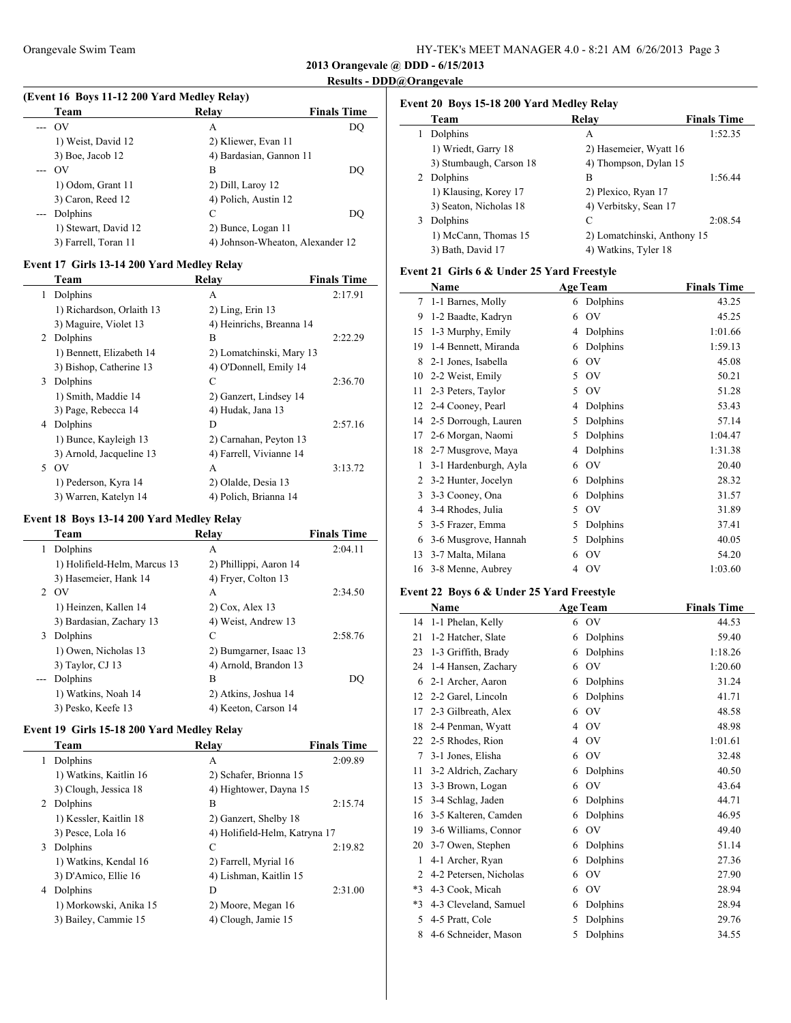## **Results - DDD@Orangevale**

# **(Event 16 Boys 11-12 200 Yard Medley Relay)**

| Team                    | Relay                            | <b>Finals Time</b> |
|-------------------------|----------------------------------|--------------------|
| O <sub>V</sub><br>$---$ | А                                | DO                 |
| 1) Weist, David 12      | 2) Kliewer, Evan 11              |                    |
| $3)$ Boe, Jacob 12      | 4) Bardasian, Gannon 11          |                    |
| OV<br>$---$             | В                                | DO                 |
| 1) Odom, Grant 11       | 2) Dill, Laroy 12                |                    |
| 3) Caron, Reed 12       | 4) Polich, Austin 12             |                    |
| Dolphins<br>$---$       | С                                | DO                 |
| 1) Stewart, David 12    | 2) Bunce, Logan 11               |                    |
| 3) Farrell, Toran 11    | 4) Johnson-Wheaton, Alexander 12 |                    |

### **Event 17 Girls 13-14 200 Yard Medley Relay**

|    | Team                      | <b>Relay</b>             | <b>Finals Time</b> |
|----|---------------------------|--------------------------|--------------------|
| 1  | Dolphins                  | A                        | 2:17.91            |
|    | 1) Richardson, Orlaith 13 | $2)$ Ling, Erin 13       |                    |
|    | 3) Maguire, Violet 13     | 4) Heinrichs, Breanna 14 |                    |
|    | 2 Dolphins                | B                        | 2:22.29            |
|    | 1) Bennett, Elizabeth 14  | 2) Lomatchinski, Mary 13 |                    |
|    | 3) Bishop, Catherine 13   | 4) O'Donnell, Emily 14   |                    |
| 3  | Dolphins                  | C                        | 2:36.70            |
|    | 1) Smith, Maddie 14       | 2) Ganzert, Lindsey 14   |                    |
|    | 3) Page, Rebecca 14       | 4) Hudak, Jana 13        |                    |
| 4  | Dolphins                  | D                        | 2:57.16            |
|    | 1) Bunce, Kayleigh 13     | 2) Carnahan, Peyton 13   |                    |
|    | 3) Arnold, Jacqueline 13  | 4) Farrell, Vivianne 14  |                    |
| 5. | OV                        | A                        | 3:13.72            |
|    | 1) Pederson, Kyra 14      | 2) Olalde, Desia 13      |                    |
|    | 3) Warren, Katelyn 14     | 4) Polich, Brianna 14    |                    |

## **Event 18 Boys 13-14 200 Yard Medley Relay**

|       | Team                         | Relay                  | <b>Finals Time</b> |
|-------|------------------------------|------------------------|--------------------|
| 1     | Dolphins                     | A                      | 2:04.11            |
|       | 1) Holifield-Helm, Marcus 13 | 2) Phillippi, Aaron 14 |                    |
|       | 3) Hasemeier, Hank 14        | 4) Fryer, Colton 13    |                    |
|       | 2 OV                         | A                      | 2:34.50            |
|       | 1) Heinzen, Kallen 14        | $2)$ Cox, Alex 13      |                    |
|       | 3) Bardasian, Zachary 13     | 4) Weist, Andrew 13    |                    |
| 3     | Dolphins                     | C                      | 2:58.76            |
|       | 1) Owen, Nicholas 13         | 2) Bumgarner, Isaac 13 |                    |
|       | 3) Taylor, CJ 13             | 4) Arnold, Brandon 13  |                    |
| $---$ | Dolphins                     | B                      | DO                 |
|       | 1) Watkins, Noah 14          | 2) Atkins, Joshua 14   |                    |
|       | 3) Pesko, Keefe 13           | 4) Keeton, Carson 14   |                    |
|       |                              |                        |                    |

## **Event 19 Girls 15-18 200 Yard Medley Relay**

|    | Team                   | Relay                         | <b>Finals Time</b> |
|----|------------------------|-------------------------------|--------------------|
| 1. | Dolphins               | A                             | 2:09.89            |
|    | 1) Watkins, Kaitlin 16 | 2) Schafer, Brionna 15        |                    |
|    | 3) Clough, Jessica 18  | 4) Hightower, Dayna 15        |                    |
| 2  | Dolphins               | R                             | 2:15.74            |
|    | 1) Kessler, Kaitlin 18 | 2) Ganzert, Shelby 18         |                    |
|    | 3) Pesce, Lola 16      | 4) Holifield-Helm, Katryna 17 |                    |
| 3  | Dolphins               | C                             | 2:19.82            |
|    | 1) Watkins, Kendal 16  | 2) Farrell, Myrial 16         |                    |
|    | 3) D'Amico, Ellie 16   | 4) Lishman, Kaitlin 15        |                    |
| 4  | Dolphins               | D                             | 2:31.00            |
|    | 1) Morkowski, Anika 15 | 2) Moore, Megan 16            |                    |
|    | 3) Bailey, Cammie 15   | 4) Clough, Jamie 15           |                    |
|    |                        |                               |                    |

## **Event 20 Boys 15-18 200 Yard Medley Relay**

| Team                    | Relay                       | <b>Finals Time</b> |
|-------------------------|-----------------------------|--------------------|
| Dolphins                | А                           | 1:52.35            |
| 1) Wriedt, Garry 18     | 2) Hasemeier, Wyatt 16      |                    |
| 3) Stumbaugh, Carson 18 | 4) Thompson, Dylan 15       |                    |
| 2 Dolphins              | B                           | 1:56.44            |
| 1) Klausing, Korey 17   | 2) Plexico, Ryan 17         |                    |
| 3) Seaton, Nicholas 18  | 4) Verbitsky, Sean 17       |                    |
| Dolphins<br>3           | C                           | 2:08.54            |
| 1) McCann, Thomas 15    | 2) Lomatchinski, Anthony 15 |                    |
| 3) Bath, David 17       | 4) Watkins, Tyler 18        |                    |

## **Event 21 Girls 6 & Under 25 Yard Freestyle**

|    | Name                  |   | <b>Age Team</b> | <b>Finals Time</b> |
|----|-----------------------|---|-----------------|--------------------|
| 7  | 1-1 Barnes, Molly     | 6 | Dolphins        | 43.25              |
| 9  | 1-2 Baadte, Kadryn    | 6 | OV              | 45.25              |
| 15 | 1-3 Murphy, Emily     | 4 | Dolphins        | 1:01.66            |
| 19 | 1-4 Bennett, Miranda  | 6 | Dolphins        | 1:59.13            |
| 8  | 2-1 Jones, Isabella   | 6 | OV              | 45.08              |
| 10 | 2-2 Weist, Emily      | 5 | OV              | 50.21              |
| 11 | 2-3 Peters, Taylor    | 5 | OV              | 51.28              |
| 12 | 2-4 Cooney, Pearl     | 4 | Dolphins        | 53.43              |
| 14 | 2-5 Dorrough, Lauren  | 5 | Dolphins        | 57.14              |
| 17 | 2-6 Morgan, Naomi     | 5 | Dolphins        | 1:04.47            |
| 18 | 2-7 Musgrove, Maya    | 4 | Dolphins        | 1:31.38            |
| 1  | 3-1 Hardenburgh, Ayla | 6 | OV              | 20.40              |
| 2  | 3-2 Hunter, Jocelyn   | 6 | Dolphins        | 28.32              |
| 3  | 3-3 Cooney, Ona       | 6 | Dolphins        | 31.57              |
| 4  | 3-4 Rhodes, Julia     | 5 | OV              | 31.89              |
| 5  | 3-5 Frazer, Emma      | 5 | Dolphins        | 37.41              |
| 6  | 3-6 Musgrove, Hannah  | 5 | Dolphins        | 40.05              |
| 13 | 3-7 Malta, Milana     | 6 | OV              | 54.20              |
| 16 | 3-8 Menne, Aubrey     | 4 | OV              | 1:03.60            |

## **Event 22 Boys 6 & Under 25 Yard Freestyle**

|      | Name                   | <b>Age Team</b> | <b>Finals Time</b> |
|------|------------------------|-----------------|--------------------|
| 14   | 1-1 Phelan, Kelly      | OV<br>6         | 44.53              |
| 21   | 1-2 Hatcher, Slate     | Dolphins<br>6   | 59.40              |
| 23   | 1-3 Griffith, Brady    | Dolphins<br>6   | 1:18.26            |
| 24   | 1-4 Hansen, Zachary    | OV<br>6         | 1:20.60            |
| 6    | 2-1 Archer, Aaron      | Dolphins<br>6   | 31.24              |
| 12   | 2-2 Garel, Lincoln     | Dolphins<br>6   | 41.71              |
| 17   | 2-3 Gilbreath, Alex    | OV<br>6         | 48.58              |
| 18   | 2-4 Penman, Wyatt      | OV<br>4         | 48.98              |
| 22   | 2-5 Rhodes, Rion       | OV<br>4         | 1:01.61            |
| 7    | 3-1 Jones, Elisha      | OV<br>6         | 32.48              |
| 11   | 3-2 Aldrich, Zachary   | Dolphins<br>6   | 40.50              |
| 13   | 3-3 Brown, Logan       | OV<br>6         | 43.64              |
| 15   | 3-4 Schlag, Jaden      | Dolphins<br>6   | 44.71              |
| 16   | 3-5 Kalteren, Camden   | Dolphins<br>6   | 46.95              |
| 19   | 3-6 Williams, Connor   | OV<br>6         | 49.40              |
| 20   | 3-7 Owen, Stephen      | Dolphins<br>6   | 51.14              |
| 1    | 4-1 Archer, Ryan       | Dolphins<br>6   | 27.36              |
| 2    | 4-2 Petersen, Nicholas | OV<br>6         | 27.90              |
| $*3$ | 4-3 Cook, Micah        | OV<br>6         | 28.94              |
| $*3$ | 4-3 Cleveland, Samuel  | Dolphins<br>6   | 28.94              |
| 5    | 4-5 Pratt, Cole        | Dolphins<br>5   | 29.76              |
| 8    | 4-6 Schneider, Mason   | Dolphins<br>5   | 34.55              |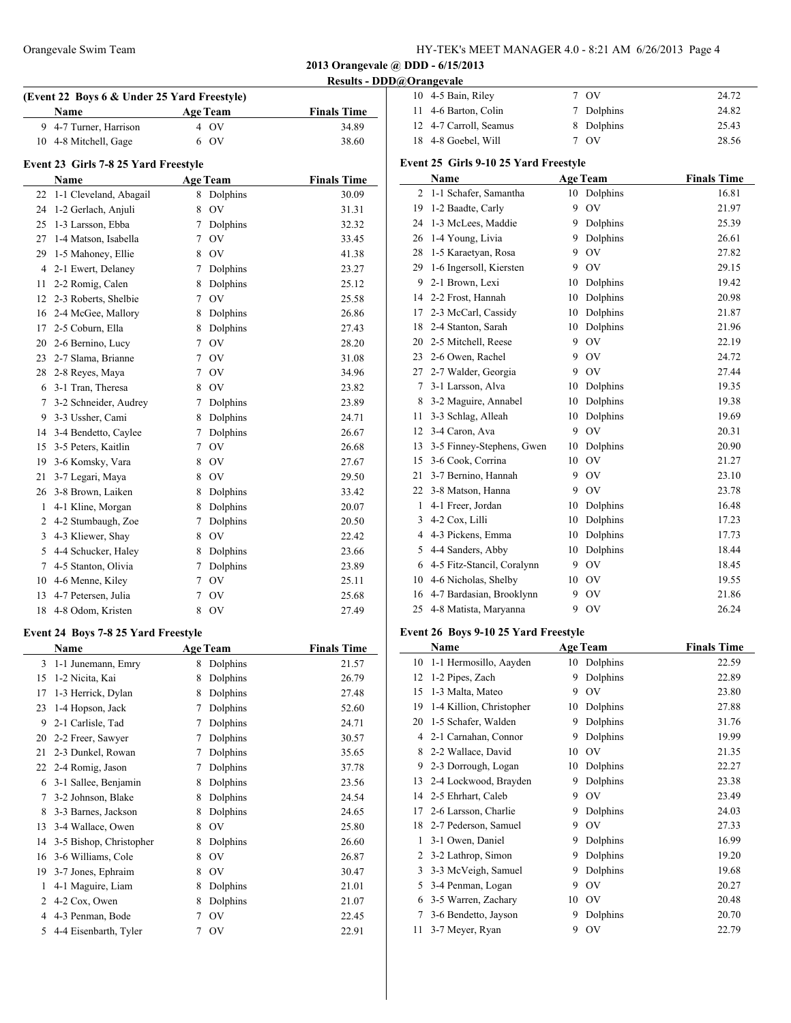| HY-TEK's MEET MANAGER 4.0 - 8:21 AM 6/26/2013 Page 4 |  |  |  |
|------------------------------------------------------|--|--|--|
|------------------------------------------------------|--|--|--|

**Results - DDD@Orangevale**

| 10 4-5 Bain, Riley     | 7. OV      | 24.72 |
|------------------------|------------|-------|
| 11 4-6 Barton, Colin   | 7 Dolphins | 24.82 |
| 12 4-7 Carroll, Seamus | 8 Dolphins | 25.43 |
| 18 4-8 Goebel, Will    | 7 OV       | 28.56 |

#### **Event 23 Girls 7-8 25 Yard Freestyle**

**(Event 22 Boys 6 & Under 25 Yard Freestyle)**

|    | Name                   |   | <b>Age Team</b> | <b>Finals Time</b> |  |
|----|------------------------|---|-----------------|--------------------|--|
| 22 | 1-1 Cleveland, Abagail | 8 | Dolphins        | 30.09              |  |
| 24 | 1-2 Gerlach, Anjuli    | 8 | OV              | 31.31              |  |
| 25 | 1-3 Larsson, Ebba      | 7 | Dolphins        | 32.32              |  |
| 27 | 1-4 Matson, Isabella   | 7 | OV              | 33.45              |  |
| 29 | 1-5 Mahoney, Ellie     | 8 | OV              | 41.38              |  |
| 4  | 2-1 Ewert, Delaney     | 7 | Dolphins        | 23.27              |  |
| 11 | 2-2 Romig, Calen       | 8 | Dolphins        | 25.12              |  |
| 12 | 2-3 Roberts, Shelbie   | 7 | OV              | 25.58              |  |
| 16 | 2-4 McGee, Mallory     | 8 | Dolphins        | 26.86              |  |
| 17 | 2-5 Coburn, Ella       | 8 | Dolphins        | 27.43              |  |
| 20 | 2-6 Bernino, Lucy      | 7 | OV              | 28.20              |  |
| 23 | 2-7 Slama, Brianne     | 7 | OV              | 31.08              |  |
| 28 | 2-8 Reyes, Maya        | 7 | OV              | 34.96              |  |
| 6  | 3-1 Tran, Theresa      | 8 | OV              | 23.82              |  |
| 7  | 3-2 Schneider, Audrey  | 7 | Dolphins        | 23.89              |  |
| 9  | 3-3 Ussher, Cami       | 8 | Dolphins        | 24.71              |  |
| 14 | 3-4 Bendetto, Caylee   | 7 | Dolphins        | 26.67              |  |
| 15 | 3-5 Peters, Kaitlin    | 7 | OV              | 26.68              |  |
| 19 | 3-6 Komsky, Vara       | 8 | <b>OV</b>       | 27.67              |  |
| 21 | 3-7 Legari, Maya       | 8 | <b>OV</b>       | 29.50              |  |
|    | 26 3-8 Brown, Laiken   | 8 | Dolphins        | 33.42              |  |
| 1  | 4-1 Kline, Morgan      | 8 | Dolphins        | 20.07              |  |
| 2  | 4-2 Stumbaugh, Zoe     | 7 | Dolphins        | 20.50              |  |
| 3  | 4-3 Kliewer, Shav      | 8 | <b>OV</b>       | 22.42              |  |
| 5  | 4-4 Schucker, Haley    | 8 | Dolphins        | 23.66              |  |
| 7  | 4-5 Stanton, Olivia    | 7 | Dolphins        | 23.89              |  |
| 10 | 4-6 Menne, Kiley       | 7 | OV              | 25.11              |  |
| 13 | 4-7 Petersen, Julia    | 7 | OV              | 25.68              |  |
| 18 | 4-8 Odom. Kristen      | 8 | OV              | 27.49              |  |

**Name Age Team Finals Time** 9 4-7 Turner, Harrison 4 OV 34.89 10 4-8 Mitchell, Gage 6 OV 38.60

### **Event 24 Boys 7-8 25 Yard Freestyle**

|    | Name                    |   | <b>Age Team</b> | <b>Finals Time</b> |
|----|-------------------------|---|-----------------|--------------------|
| 3  | 1-1 Junemann, Emry      | 8 | Dolphins        | 21.57              |
| 15 | 1-2 Nicita, Kai         | 8 | Dolphins        | 26.79              |
| 17 | 1-3 Herrick, Dylan      | 8 | Dolphins        | 27.48              |
| 23 | 1-4 Hopson, Jack        | 7 | Dolphins        | 52.60              |
| 9  | 2-1 Carlisle, Tad       | 7 | Dolphins        | 24.71              |
| 20 | 2-2 Freer, Sawyer       | 7 | Dolphins        | 30.57              |
| 21 | 2-3 Dunkel, Rowan       | 7 | Dolphins        | 35.65              |
| 22 | 2-4 Romig, Jason        | 7 | Dolphins        | 37.78              |
| 6  | 3-1 Sallee, Benjamin    | 8 | Dolphins        | 23.56              |
| 7  | 3-2 Johnson, Blake      | 8 | Dolphins        | 24.54              |
| 8  | 3-3 Barnes, Jackson     | 8 | Dolphins        | 24.65              |
| 13 | 3-4 Wallace, Owen       | 8 | OV              | 25.80              |
| 14 | 3-5 Bishop, Christopher | 8 | Dolphins        | 26.60              |
| 16 | 3-6 Williams, Cole      | 8 | <b>OV</b>       | 26.87              |
| 19 | 3-7 Jones, Ephraim      | 8 | OV              | 30.47              |
| 1  | 4-1 Maguire, Liam       | 8 | Dolphins        | 21.01              |
| 2  | 4-2 Cox, Owen           | 8 | Dolphins        | 21.07              |
| 4  | 4-3 Penman, Bode        | 7 | OV              | 22.45              |
| 5  | 4-4 Eisenbarth, Tyler   |   | <b>OV</b>       | 22.91              |

### **Event 25 Girls 9-10 25 Yard Freestyle**

|    | Name                       |    | <b>Age Team</b> | <b>Finals Time</b> |
|----|----------------------------|----|-----------------|--------------------|
| 2  | 1-1 Schafer, Samantha      | 10 | Dolphins        | 16.81              |
| 19 | 1-2 Baadte, Carly          | 9  | <b>OV</b>       | 21.97              |
| 24 | 1-3 McLees, Maddie         | 9  | Dolphins        | 25.39              |
| 26 | 1-4 Young, Livia           | 9  | Dolphins        | 26.61              |
| 28 | 1-5 Karaetyan, Rosa        | 9  | O <sub>V</sub>  | 27.82              |
| 29 | 1-6 Ingersoll, Kiersten    | 9  | O <sub>V</sub>  | 29.15              |
| 9  | 2-1 Brown, Lexi            | 10 | Dolphins        | 19.42              |
| 14 | 2-2 Frost, Hannah          | 10 | Dolphins        | 20.98              |
| 17 | 2-3 McCarl, Cassidy        | 10 | Dolphins        | 21.87              |
| 18 | 2-4 Stanton, Sarah         | 10 | Dolphins        | 21.96              |
| 20 | 2-5 Mitchell, Reese        | 9  | OV              | 22.19              |
| 23 | 2-6 Owen, Rachel           | 9  | O <sub>V</sub>  | 24.72              |
| 27 | 2-7 Walder, Georgia        | 9  | O <sub>V</sub>  | 27.44              |
| 7  | 3-1 Larsson, Alva          | 10 | Dolphins        | 19.35              |
| 8  | 3-2 Maguire, Annabel       | 10 | Dolphins        | 19.38              |
| 11 | 3-3 Schlag, Alleah         | 10 | Dolphins        | 19.69              |
| 12 | 3-4 Caron, Ava             | 9  | OV              | 20.31              |
| 13 | 3-5 Finney-Stephens, Gwen  | 10 | Dolphins        | 20.90              |
| 15 | 3-6 Cook, Corrina          | 10 | O <sub>V</sub>  | 21.27              |
| 21 | 3-7 Bernino, Hannah        | 9  | OV              | 23.10              |
| 22 | 3-8 Matson, Hanna          | 9  | OV              | 23.78              |
| 1  | 4-1 Freer, Jordan          | 10 | Dolphins        | 16.48              |
| 3  | 4-2 Cox, Lilli             | 10 | Dolphins        | 17.23              |
| 4  | 4-3 Pickens, Emma          | 10 | Dolphins        | 17.73              |
| 5  | 4-4 Sanders, Abby          | 10 | Dolphins        | 18.44              |
| 6  | 4-5 Fitz-Stancil, Coralynn | 9  | OV              | 18.45              |
| 10 | 4-6 Nicholas, Shelby       | 10 | OV              | 19.55              |
| 16 | 4-7 Bardasian, Brooklynn   | 9  | O <sub>V</sub>  | 21.86              |
| 25 | 4-8 Matista, Maryanna      | 9  | OV              | 26.24              |

## **Event 26 Boys 9-10 25 Yard Freestyle**

 $\overline{a}$ 

|    | Name                     |    | <b>Age Team</b> | <b>Finals Time</b> |
|----|--------------------------|----|-----------------|--------------------|
| 10 | 1-1 Hermosillo, Aayden   | 10 | Dolphins        | 22.59              |
| 12 | 1-2 Pipes, Zach          | 9  | Dolphins        | 22.89              |
| 15 | 1-3 Malta, Mateo         | 9  | OV              | 23.80              |
| 19 | 1-4 Killion, Christopher | 10 | Dolphins        | 27.88              |
| 20 | 1-5 Schafer, Walden      | 9  | Dolphins        | 31.76              |
| 4  | 2-1 Carnahan, Connor     | 9  | Dolphins        | 19.99              |
| 8  | 2-2 Wallace, David       | 10 | OV              | 21.35              |
| 9  | 2-3 Dorrough, Logan      | 10 | Dolphins        | 22.27              |
| 13 | 2-4 Lockwood, Brayden    | 9  | Dolphins        | 23.38              |
| 14 | 2-5 Ehrhart, Caleb       | 9  | OV              | 23.49              |
| 17 | 2-6 Larsson, Charlie     | 9  | Dolphins        | 24.03              |
| 18 | 2-7 Pederson, Samuel     | 9  | OV              | 27.33              |
| 1  | 3-1 Owen, Daniel         | 9  | Dolphins        | 16.99              |
| 2  | 3-2 Lathrop, Simon       | 9  | Dolphins        | 19.20              |
| 3  | 3-3 McVeigh, Samuel      | 9  | Dolphins        | 19.68              |
| 5  | 3-4 Penman, Logan        | 9  | OV              | 20.27              |
| 6  | 3-5 Warren, Zachary      | 10 | OV              | 20.48              |
| 7  | 3-6 Bendetto, Jayson     | 9  | Dolphins        | 20.70              |
| 11 | 3-7 Meyer, Ryan          | 9  | OV              | 22.79              |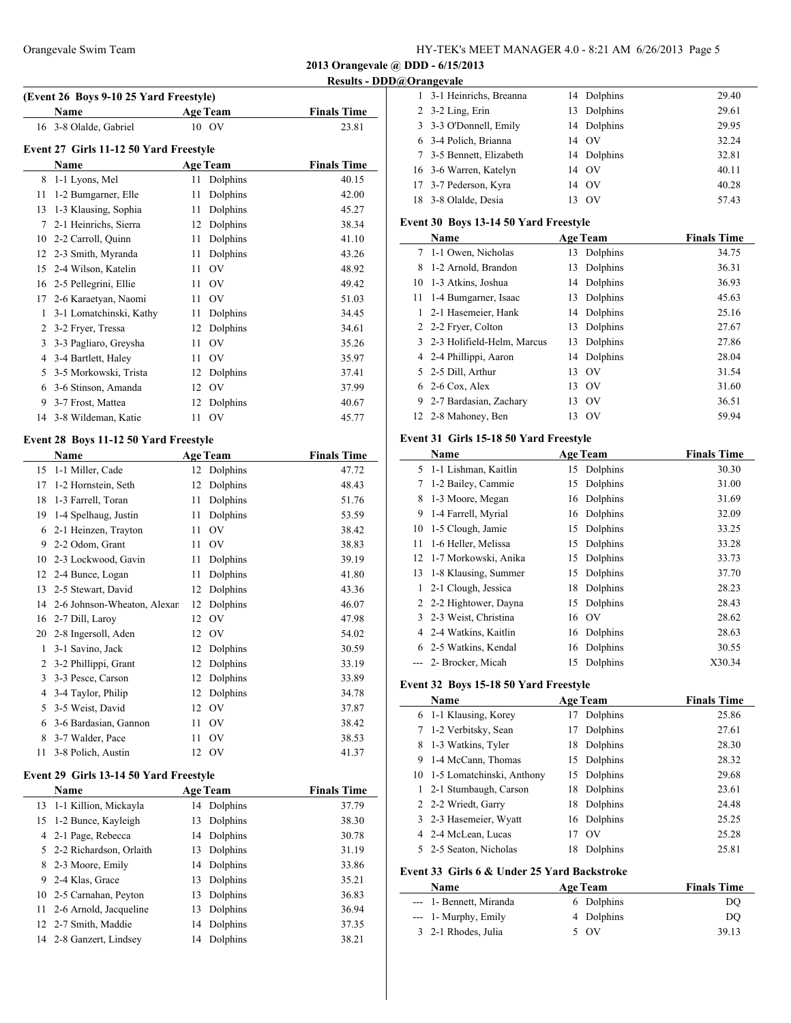**Results - DDD@Orangevale**

| (Event 26 Boys 9-10 25 Yard Freestyle) |                                        |    |                 |                    |  |  |  |
|----------------------------------------|----------------------------------------|----|-----------------|--------------------|--|--|--|
|                                        | Name                                   |    | <b>Age Team</b> | <b>Finals Time</b> |  |  |  |
|                                        | 16 3-8 Olalde, Gabriel                 |    | 10 OV           | 23.81              |  |  |  |
|                                        | Event 27 Girls 11-12 50 Yard Freestyle |    |                 |                    |  |  |  |
|                                        | <b>Name</b>                            |    | <b>Age Team</b> | <b>Finals Time</b> |  |  |  |
| 8                                      | 1-1 Lyons, Mel                         | 11 | Dolphins        | 40.15              |  |  |  |
| 11                                     | 1-2 Bumgarner, Elle                    | 11 | Dolphins        | 42.00              |  |  |  |
| 13                                     | 1-3 Klausing, Sophia                   | 11 | Dolphins        | 45.27              |  |  |  |
| 7                                      | 2-1 Heinrichs, Sierra                  | 12 | Dolphins        | 38.34              |  |  |  |
| 10                                     | 2-2 Carroll, Quinn                     | 11 | Dolphins        | 41.10              |  |  |  |
| 12                                     | 2-3 Smith, Myranda                     | 11 | Dolphins        | 43.26              |  |  |  |
| 15                                     | 2-4 Wilson, Katelin                    | 11 | O <sub>V</sub>  | 48.92              |  |  |  |
| 16                                     | 2-5 Pellegrini, Ellie                  | 11 | OV              | 49.42              |  |  |  |
| 17                                     | 2-6 Karaetyan, Naomi                   | 11 | OV              | 51.03              |  |  |  |
| 1                                      | 3-1 Lomatchinski, Kathy                | 11 | Dolphins        | 34.45              |  |  |  |
| 2                                      | 3-2 Fryer, Tressa                      | 12 | Dolphins        | 34.61              |  |  |  |
| 3                                      | 3-3 Pagliaro, Greysha                  | 11 | OV              | 35.26              |  |  |  |
| 4                                      | 3-4 Bartlett, Haley                    | 11 | O <sub>V</sub>  | 35.97              |  |  |  |
| 5                                      | 3-5 Morkowski, Trista                  | 12 | Dolphins        | 37.41              |  |  |  |
| 6                                      | 3-6 Stinson, Amanda                    | 12 | <b>OV</b>       | 37.99              |  |  |  |
| 9                                      | 3-7 Frost, Mattea                      | 12 | Dolphins        | 40.67              |  |  |  |
| 14                                     | 3-8 Wildeman, Katie                    | 11 | OV              | 45.77              |  |  |  |
|                                        |                                        |    |                 |                    |  |  |  |

## **Event 28 Boys 11-12 50 Yard Freestyle**

| Name |                             |    | <b>Age Team</b> | <b>Finals Time</b> |
|------|-----------------------------|----|-----------------|--------------------|
| 15   | 1-1 Miller, Cade            | 12 | Dolphins        | 47.72              |
| 17   | 1-2 Hornstein, Seth         | 12 | Dolphins        | 48.43              |
| 18   | 1-3 Farrell, Toran          | 11 | Dolphins        | 51.76              |
| 19   | 1-4 Spelhaug, Justin        | 11 | Dolphins        | 53.59              |
| 6    | 2-1 Heinzen, Trayton        | 11 | OV              | 38.42              |
| 9    | 2-2 Odom, Grant             | 11 | OV              | 38.83              |
| 10   | 2-3 Lockwood, Gavin         | 11 | Dolphins        | 39.19              |
| 12   | 2-4 Bunce, Logan            | 11 | Dolphins        | 41.80              |
| 13   | 2-5 Stewart, David          | 12 | Dolphins        | 43.36              |
| 14   | 2-6 Johnson-Wheaton, Alexar | 12 | Dolphins        | 46.07              |
| 16   | 2-7 Dill, Laroy             | 12 | OV              | 47.98              |
| 20   | 2-8 Ingersoll, Aden         | 12 | OV              | 54.02              |
| 1    | 3-1 Savino, Jack            | 12 | Dolphins        | 30.59              |
| 2    | 3-2 Phillippi, Grant        | 12 | Dolphins        | 33.19              |
| 3    | 3-3 Pesce, Carson           | 12 | Dolphins        | 33.89              |
| 4    | 3-4 Taylor, Philip          | 12 | Dolphins        | 34.78              |
| 5    | 3-5 Weist, David            | 12 | OV              | 37.87              |
| 6    | 3-6 Bardasian, Gannon       | 11 | OV              | 38.42              |
| 8    | 3-7 Walder, Pace            | 11 | OV              | 38.53              |
| 11   | 3-8 Polich, Austin          | 12 | OV              | 41.37              |

## **Event 29 Girls 13-14 50 Yard Freestyle**

 $\overline{\phantom{0}}$ 

| <b>Name</b> | <b>Age Team</b>                                                                                                                                                                                                                                              | <b>Finals Time</b> |
|-------------|--------------------------------------------------------------------------------------------------------------------------------------------------------------------------------------------------------------------------------------------------------------|--------------------|
|             | 14 Dolphins                                                                                                                                                                                                                                                  | 37.79              |
|             | Dolphins<br>13                                                                                                                                                                                                                                               | 38.30              |
|             | 14 Dolphins                                                                                                                                                                                                                                                  | 30.78              |
|             | Dolphins<br>13                                                                                                                                                                                                                                               | 31.19              |
|             | Dolphins<br>14                                                                                                                                                                                                                                               | 33.86              |
|             | Dolphins<br>13                                                                                                                                                                                                                                               | 35.21              |
|             | Dolphins<br>13                                                                                                                                                                                                                                               | 36.83              |
|             | Dolphins<br>13                                                                                                                                                                                                                                               | 36.94              |
|             | Dolphins<br>14                                                                                                                                                                                                                                               | 37.35              |
|             | Dolphins<br>14                                                                                                                                                                                                                                               | 38.21              |
|             | 13 1-1 Killion, Mickayla<br>15 1-2 Bunce, Kayleigh<br>4 2-1 Page, Rebecca<br>5 2-2 Richardson, Orlaith<br>8 2-3 Moore, Emily<br>9 2-4 Klas, Grace<br>10 2-5 Carnahan, Peyton<br>11 2-6 Arnold, Jacqueline<br>12 2-7 Smith, Maddie<br>14 2-8 Ganzert, Lindsey |                    |

| $-$ ,                    |             |       |
|--------------------------|-------------|-------|
| 1 3-1 Heinrichs, Breanna | 14 Dolphins | 29.40 |
| $2$ 3-2 Ling, Erin       | 13 Dolphins | 29.61 |
| 3 3-3 O'Donnell, Emily   | 14 Dolphins | 29.95 |
| 6 3-4 Polich, Brianna    | 14 OV       | 32.24 |
| 7 3-5 Bennett, Elizabeth | 14 Dolphins | 32.81 |
| 16 3-6 Warren, Katelyn   | 14 OV       | 40.11 |
| 17 3-7 Pederson, Kyra    | 14 OV       | 40.28 |
| 18 3-8 Olalde, Desia     | $\alpha$    | 57.43 |

## **Event 30 Boys 13-14 50 Yard Freestyle**

|    | Name                         |    | <b>Age Team</b> | <b>Finals Time</b> |
|----|------------------------------|----|-----------------|--------------------|
|    | 7 1-1 Owen, Nicholas         | 13 | Dolphins        | 34.75              |
| 8  | 1-2 Arnold, Brandon          | 13 | Dolphins        | 36.31              |
|    | 10 1-3 Atkins, Joshua        | 14 | Dolphins        | 36.93              |
| 11 | 1-4 Bumgarner, Isaac         | 13 | Dolphins        | 45.63              |
| 1. | 2-1 Hasemeier, Hank          | 14 | Dolphins        | 25.16              |
|    | 2 2-2 Fryer, Colton          | 13 | Dolphins        | 27.67              |
|    | 3 2-3 Holifield-Helm, Marcus | 13 | Dolphins        | 27.86              |
|    | 4 2-4 Phillippi, Aaron       | 14 | Dolphins        | 28.04              |
|    | 5 2-5 Dill, Arthur           | 13 | - OV            | 31.54              |
| 6. | 2-6 Cox, Alex                | 13 | - OV            | 31.60              |
| 9. | 2-7 Bardasian, Zachary       | 13 | OV              | 36.51              |
|    | 12 2-8 Mahoney, Ben          | 13 | - OV            | 59.94              |

### **Event 31 Girls 15-18 50 Yard Freestyle**

|    | Name                   |    | <b>Age Team</b> | <b>Finals Time</b> |
|----|------------------------|----|-----------------|--------------------|
|    | 5 1-1 Lishman, Kaitlin | 15 | Dolphins        | 30.30              |
| 7  | 1-2 Bailey, Cammie     | 15 | Dolphins        | 31.00              |
| 8  | 1-3 Moore, Megan       | 16 | Dolphins        | 31.69              |
| 9  | 1-4 Farrell, Myrial    | 16 | Dolphins        | 32.09              |
| 10 | 1-5 Clough, Jamie      | 15 | Dolphins        | 33.25              |
| 11 | 1-6 Heller, Melissa    | 15 | Dolphins        | 33.28              |
| 12 | 1-7 Morkowski, Anika   | 15 | Dolphins        | 33.73              |
| 13 | 1-8 Klausing, Summer   | 15 | Dolphins        | 37.70              |
|    | 2-1 Clough, Jessica    | 18 | Dolphins        | 28.23              |
| 2  | 2-2 Hightower, Dayna   | 15 | Dolphins        | 28.43              |
| 3  | 2-3 Weist, Christina   |    | 16 OV           | 28.62              |
| 4  | 2-4 Watkins, Kaitlin   | 16 | Dolphins        | 28.63              |
| 6. | 2-5 Watkins, Kendal    | 16 | Dolphins        | 30.55              |
|    | 2- Brocker, Micah      | 15 | Dolphins        | X30.34             |

#### **Event 32 Boys 15-18 50 Yard Freestyle**

| Name |                                             | <b>Age Team</b> |             | <b>Finals Time</b> |  |
|------|---------------------------------------------|-----------------|-------------|--------------------|--|
|      | 6 1-1 Klausing, Korey                       | 17              | Dolphins    | 25.86              |  |
| 7    | 1-2 Verbitsky, Sean                         | 17              | Dolphins    | 27.61              |  |
| 8    | 1-3 Watkins, Tyler                          | 18              | Dolphins    | 28.30              |  |
| 9.   | 1-4 McCann, Thomas                          |                 | 15 Dolphins | 28.32              |  |
|      | 10 1-5 Lomatchinski, Anthony                |                 | 15 Dolphins | 29.68              |  |
| 1    | 2-1 Stumbaugh, Carson                       | 18              | Dolphins    | 23.61              |  |
|      | 2 2-2 Wriedt, Garry                         | 18              | Dolphins    | 24.48              |  |
|      | 3 2-3 Hasemeier, Wyatt                      |                 | 16 Dolphins | 25.25              |  |
|      | 4 2-4 McLean, Lucas                         | 17              | $\alpha$    | 25.28              |  |
|      | 5 2-5 Seaton, Nicholas                      | 18              | Dolphins    | 25.81              |  |
|      | Event 33 Girls 6 & Under 25 Yard Backstroke |                 |             |                    |  |
| Name |                                             | A oe Team       |             | Finals Time        |  |

| Name                    | <b>Age Team</b> | <b>Finals Time</b> |
|-------------------------|-----------------|--------------------|
| --- 1- Bennett, Miranda | 6 Dolphins      | DO                 |
| --- 1- Murphy, Emily    | 4 Dolphins      | DO                 |
| 3 2-1 Rhodes, Julia     | 5 OV            | 39.13              |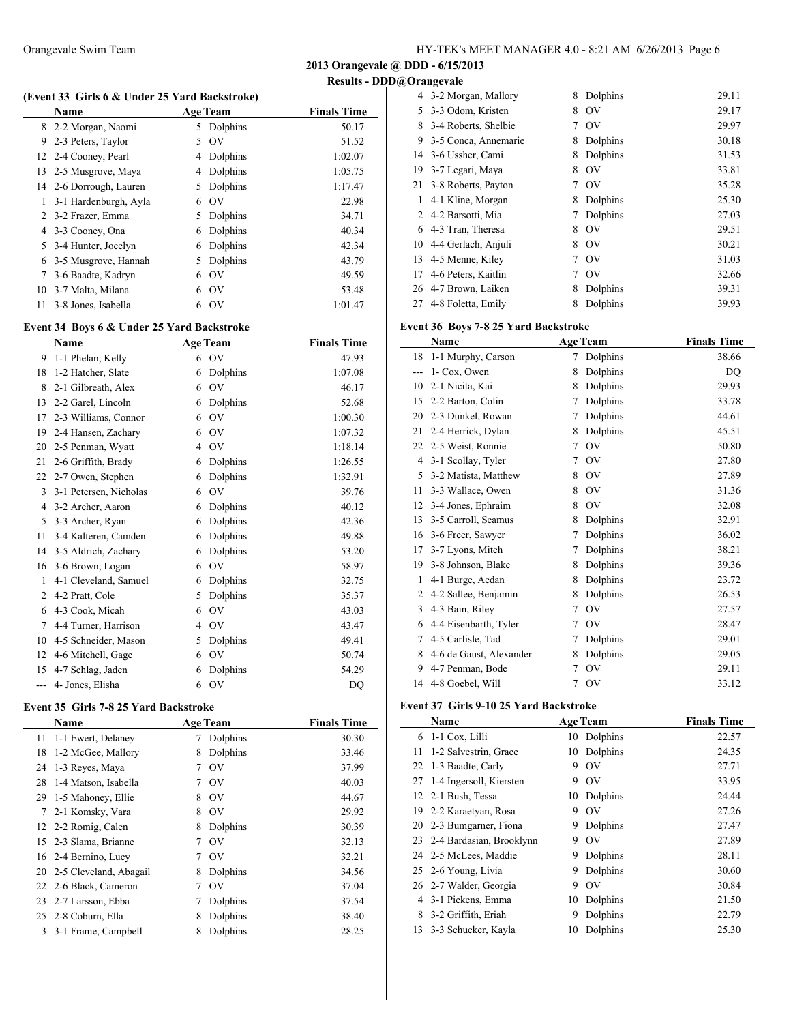**2013 Orangevale @ DDD - 6/15/2013**

**Results - DDD@Orangevale**

|  |  | (Event 33 Girls 6 & Under 25 Yard Backstroke) |
|--|--|-----------------------------------------------|
|  |  |                                               |

|    | <b>Name</b>             |    | <b>Age Team</b> | <b>Finals Time</b> |
|----|-------------------------|----|-----------------|--------------------|
|    | 8 2-2 Morgan, Naomi     |    | 5 Dolphins      | 50.17              |
| 9  | 2-3 Peters, Taylor      | 5  | OV              | 51.52              |
|    | 12 2-4 Cooney, Pearl    | 4  | Dolphins        | 1:02.07            |
|    | 13 2-5 Musgrove, Maya   | 4  | Dolphins        | 1:05.75            |
|    | 14 2-6 Dorrough, Lauren | 5. | Dolphins        | 1:17.47            |
|    | 3-1 Hardenburgh, Ayla   | 6  | $\rm OV$        | 22.98              |
| 2  | 3-2 Frazer, Emma        | 5. | Dolphins        | 34.71              |
|    | 4 3-3 Cooney, Ona       | 6  | Dolphins        | 40.34              |
| 5. | 3-4 Hunter, Jocelyn     | 6  | Dolphins        | 42.34              |
| 6  | 3-5 Musgrove, Hannah    | 5. | Dolphins        | 43.79              |
| 7  | 3-6 Baadte, Kadryn      | 6  | OV              | 49.59              |
| 10 | 3-7 Malta, Milana       | 6  | OV              | 53.48              |
| 11 | 3-8 Jones, Isabella     | 6  | $\rm OV$        | 1:01.47            |
|    |                         |    |                 |                    |

## **Event 34 Boys 6 & Under 25 Yard Backstroke**

|       | Name                   |   | <b>Age Team</b> | <b>Finals Time</b> |
|-------|------------------------|---|-----------------|--------------------|
| 9     | 1-1 Phelan, Kelly      | 6 | OV              | 47.93              |
| 18    | 1-2 Hatcher, Slate     | 6 | Dolphins        | 1:07.08            |
| 8     | 2-1 Gilbreath, Alex    | 6 | OV              | 46.17              |
| 13    | 2-2 Garel, Lincoln     | 6 | Dolphins        | 52.68              |
| 17    | 2-3 Williams, Connor   | 6 | OV              | 1:00.30            |
| 19    | 2-4 Hansen, Zachary    | 6 | OV              | 1:07.32            |
| 20    | 2-5 Penman, Wyatt      | 4 | O <sub>V</sub>  | 1:18.14            |
| 21    | 2-6 Griffith, Brady    | 6 | Dolphins        | 1:26.55            |
| 22    | 2-7 Owen, Stephen      | 6 | Dolphins        | 1:32.91            |
| 3     | 3-1 Petersen, Nicholas | 6 | O <sub>V</sub>  | 39.76              |
| 4     | 3-2 Archer, Aaron      | 6 | Dolphins        | 40.12              |
| 5     | 3-3 Archer, Ryan       | 6 | Dolphins        | 42.36              |
| 11    | 3-4 Kalteren, Camden   | 6 | Dolphins        | 49.88              |
| 14    | 3-5 Aldrich, Zachary   | 6 | Dolphins        | 53.20              |
| 16    | 3-6 Brown, Logan       | 6 | OV              | 58.97              |
| 1     | 4-1 Cleveland, Samuel  | 6 | Dolphins        | 32.75              |
| 2     | 4-2 Pratt, Cole        | 5 | Dolphins        | 35.37              |
| 6     | 4-3 Cook, Micah        | 6 | OV              | 43.03              |
| 7     | 4-4 Turner, Harrison   | 4 | OV              | 43.47              |
| 10    | 4-5 Schneider, Mason   | 5 | Dolphins        | 49.41              |
| 12    | 4-6 Mitchell, Gage     | 6 | OV              | 50.74              |
| 15    | 4-7 Schlag, Jaden      | 6 | Dolphins        | 54.29              |
| $---$ | 4- Jones, Elisha       | 6 | OV              | DQ                 |

## **Event 35 Girls 7-8 25 Yard Backstroke**

|    | <b>Name</b>               |   | <b>Age Team</b> | <b>Finals Time</b> |
|----|---------------------------|---|-----------------|--------------------|
| 11 | 1-1 Ewert, Delaney        |   | Dolphins        | 30.30              |
| 18 | 1-2 McGee, Mallory        | 8 | Dolphins        | 33.46              |
| 24 | 1-3 Reves, Maya           |   | O <sub>V</sub>  | 37.99              |
| 28 | 1-4 Matson, Isabella      |   | OV              | 40.03              |
| 29 | 1-5 Mahoney, Ellie        | 8 | OV              | 44.67              |
| 7  | 2-1 Komsky, Vara          | 8 | OV              | 29.92              |
|    | 12 2-2 Romig, Calen       | 8 | Dolphins        | 30.39              |
|    | 15 2-3 Slama, Brianne     |   | OV              | 32.13              |
|    | 16 2-4 Bernino, Lucy      |   | O <sub>V</sub>  | 32.21              |
|    | 20 2-5 Cleveland, Abagail | 8 | Dolphins        | 34.56              |
|    | 22 2-6 Black, Cameron     |   | O <sub>V</sub>  | 37.04              |
|    | 23 2-7 Larsson, Ebba      |   | Dolphins        | 37.54              |
|    | 25 2-8 Coburn, Ella       | 8 | Dolphins        | 38.40              |
| 3  | 3-1 Frame, Campbell       |   | Dolphins        | 28.25              |
|    |                           |   |                 |                    |

|    | 4 3-2 Morgan, Mallory | 8 | Dolphins                      | 29.11 |
|----|-----------------------|---|-------------------------------|-------|
| 5  | 3-3 Odom, Kristen     | 8 | OV                            | 29.17 |
| 8  | 3-4 Roberts, Shelbie  | 7 | OV                            | 29.97 |
| 9  | 3-5 Conca, Annemarie  | 8 | Dolphins                      | 30.18 |
| 14 | 3-6 Ussher, Cami      | 8 | Dolphins                      | 31.53 |
| 19 | 3-7 Legari, Maya      | 8 | O <sub>V</sub>                | 33.81 |
| 21 | 3-8 Roberts, Payton   |   | $\overline{\text{O}}\text{V}$ | 35.28 |
| 1  | 4-1 Kline, Morgan     | 8 | Dolphins                      | 25.30 |
| 2  | 4-2 Barsotti, Mia     |   | Dolphins                      | 27.03 |
| 6  | 4-3 Tran, Theresa     | 8 | OV                            | 29.51 |
| 10 | 4-4 Gerlach, Anjuli   | 8 | OV                            | 30.21 |
| 13 | 4-5 Menne, Kiley      | 7 | O <sub>V</sub>                | 31.03 |
| 17 | 4-6 Peters, Kaitlin   |   | O <sub>V</sub>                | 32.66 |
| 26 | 4-7 Brown, Laiken     | 8 | Dolphins                      | 39.31 |
| 27 | 4-8 Foletta, Emily    | 8 | Dolphins                      | 39.93 |

## **Event 36 Boys 7-8 25 Yard Backstroke**

|     | Name                    |   | <b>Age Team</b> | <b>Finals Time</b> |
|-----|-------------------------|---|-----------------|--------------------|
| 18  | 1-1 Murphy, Carson      | 7 | Dolphins        | 38.66              |
| --- | 1- Cox, Owen            | 8 | Dolphins        | DQ                 |
| 10  | 2-1 Nicita, Kai         | 8 | Dolphins        | 29.93              |
| 15  | 2-2 Barton, Colin       | 7 | Dolphins        | 33.78              |
| 20  | 2-3 Dunkel, Rowan       | 7 | Dolphins        | 44.61              |
| 21  | 2-4 Herrick, Dylan      | 8 | Dolphins        | 45.51              |
| 22  | 2-5 Weist, Ronnie       | 7 | OV              | 50.80              |
| 4   | 3-1 Scollay, Tyler      | 7 | OV              | 27.80              |
| 5   | 3-2 Matista, Matthew    | 8 | OV              | 27.89              |
| 11  | 3-3 Wallace, Owen       | 8 | OV              | 31.36              |
| 12  | 3-4 Jones, Ephraim      | 8 | OV              | 32.08              |
| 13  | 3-5 Carroll, Seamus     | 8 | Dolphins        | 32.91              |
| 16  | 3-6 Freer, Sawyer       | 7 | Dolphins        | 36.02              |
| 17  | 3-7 Lyons, Mitch        | 7 | Dolphins        | 38.21              |
| 19  | 3-8 Johnson, Blake      | 8 | Dolphins        | 39.36              |
| 1   | 4-1 Burge, Aedan        | 8 | Dolphins        | 23.72              |
| 2   | 4-2 Sallee, Benjamin    | 8 | Dolphins        | 26.53              |
| 3   | 4-3 Bain, Riley         | 7 | OV              | 27.57              |
| 6   | 4-4 Eisenbarth, Tyler   | 7 | OV              | 28.47              |
| 7   | 4-5 Carlisle, Tad       | 7 | Dolphins        | 29.01              |
| 8   | 4-6 de Gaust, Alexander | 8 | Dolphins        | 29.05              |
| 9   | 4-7 Penman, Bode        | 7 | OV              | 29.11              |
| 14  | 4-8 Goebel, Will        | 7 | OV              | 33.12              |

### **Event 37 Girls 9-10 25 Yard Backstroke**

|    | <b>Name</b>                 |    | <b>Age Team</b> | <b>Finals Time</b> |
|----|-----------------------------|----|-----------------|--------------------|
|    | 6 1-1 Cox, Lilli            | 10 | Dolphins        | 22.57              |
| 11 | 1-2 Salvestrin, Grace       | 10 | Dolphins        | 24.35              |
|    | 22 1-3 Baadte, Carly        | 9  | O <sub>V</sub>  | 27.71              |
| 27 | 1-4 Ingersoll, Kiersten     | 9  | OV              | 33.95              |
|    | 12 2-1 Bush, Tessa          | 10 | Dolphins        | 24.44              |
| 19 | 2-2 Karaetyan, Rosa         | 9  | OV              | 27.26              |
|    | 20 2-3 Bumgarner, Fiona     | 9  | Dolphins        | 27.47              |
|    | 23 2-4 Bardasian, Brooklynn | 9  | OV              | 27.89              |
|    | 24 2-5 McLees, Maddie       | 9  | Dolphins        | 28.11              |
|    | 25 2-6 Young, Livia         | 9  | Dolphins        | 30.60              |
|    | 26 2-7 Walder, Georgia      | 9  | O <sub>V</sub>  | 30.84              |
|    | 4 3-1 Pickens, Emma         | 10 | Dolphins        | 21.50              |
| 8  | 3-2 Griffith, Eriah         | 9  | Dolphins        | 22.79              |
| 13 | 3-3 Schucker, Kayla         | 10 | Dolphins        | 25.30              |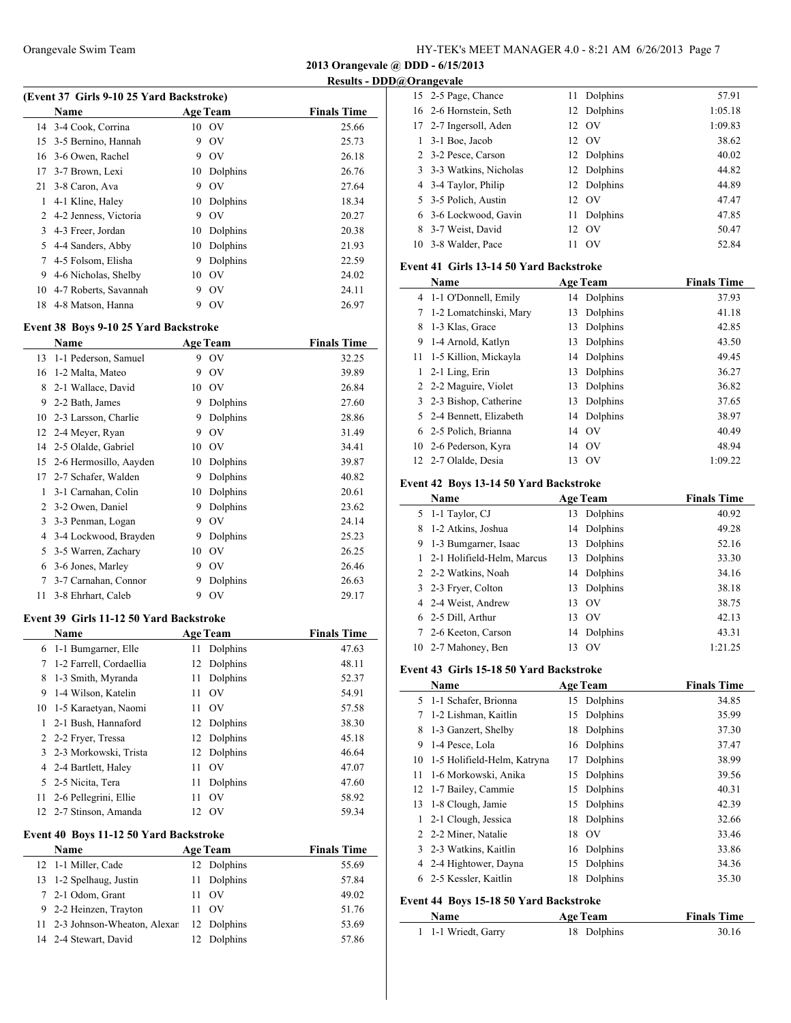**2013 Orangevale @ DDD - 6/15/2013**

**Results - DDD@Orangevale**

 $\frac{1}{2}$ 

**Finals Time** 

| (Event 37 Girls 9-10 25 Yard Backstroke) |            |                    |  |  |  |  |
|------------------------------------------|------------|--------------------|--|--|--|--|
| <b>Name</b>                              | Age Team   | <b>Finals Time</b> |  |  |  |  |
| 14 3-4 Cook, Corrina                     | $10\Omega$ | 25.66              |  |  |  |  |
| 15 3-5 Bernino. Hannah                   | 9 OV       | 25.73              |  |  |  |  |

|    | 15 3-5 Bernino, Hannah   | 9  | O <sub>V</sub> | 25.73 |
|----|--------------------------|----|----------------|-------|
|    | 16 3-6 Owen, Rachel      | 9  | O <sub>V</sub> | 26.18 |
| 17 | 3-7 Brown, Lexi          | 10 | Dolphins       | 26.76 |
| 21 | 3-8 Caron, Ava           | 9  | O <sub>V</sub> | 27.64 |
| 1  | 4-1 Kline, Haley         |    | 10 Dolphins    | 18.34 |
|    | 2 4-2 Jenness, Victoria  | 9  | O <sub>V</sub> | 20.27 |
|    | 3 4-3 Freer, Jordan      |    | 10 Dolphins    | 20.38 |
|    | 5 4-4 Sanders, Abby      |    | 10 Dolphins    | 21.93 |
|    | 7 4-5 Folsom, Elisha     | 9  | Dolphins       | 22.59 |
| 9  | 4-6 Nicholas, Shelby     |    | $10\quad$ OV   | 24.02 |
|    | 10 4-7 Roberts, Savannah | 9  | O <sub>V</sub> | 24.11 |
|    | 18 4-8 Matson, Hanna     | 9  | OV             | 26.97 |

#### **Event 38 Boys 9-10 25 Yard Backstroke**

|    | Name                   |    | <b>Age Team</b> | <b>Finals Time</b> |
|----|------------------------|----|-----------------|--------------------|
| 13 | 1-1 Pederson, Samuel   | 9  | OV              | 32.25              |
| 16 | 1-2 Malta, Mateo       | 9  | OV              | 39.89              |
| 8  | 2-1 Wallace, David     | 10 | OV              | 26.84              |
| 9  | 2-2 Bath, James        | 9  | Dolphins        | 27.60              |
| 10 | 2-3 Larsson, Charlie   | 9  | Dolphins        | 28.86              |
| 12 | 2-4 Meyer, Ryan        | 9  | O <sub>V</sub>  | 31.49              |
|    | 14 2-5 Olalde, Gabriel | 10 | OV              | 34.41              |
| 15 | 2-6 Hermosillo, Aayden | 10 | Dolphins        | 39.87              |
| 17 | 2-7 Schafer, Walden    | 9  | Dolphins        | 40.82              |
| 1  | 3-1 Carnahan, Colin    | 10 | Dolphins        | 20.61              |
| 2  | 3-2 Owen, Daniel       | 9  | Dolphins        | 23.62              |
| 3  | 3-3 Penman, Logan      | 9  | OV              | 24.14              |
| 4  | 3-4 Lockwood, Brayden  | 9  | Dolphins        | 25.23              |
| 5  | 3-5 Warren, Zachary    | 10 | O <sub>V</sub>  | 26.25              |
| 6  | 3-6 Jones, Marley      | 9  | <b>OV</b>       | 26.46              |
| 7  | 3-7 Carnahan, Connor   | 9  | Dolphins        | 26.63              |
| 11 | 3-8 Ehrhart, Caleb     | 9  | OV              | 29.17              |

#### **Event 39 Girls 11-12 50 Yard Backstroke**

|   | <b>Name</b>                            | <b>Age Team</b> | <b>Finals Time</b>   |       |
|---|----------------------------------------|-----------------|----------------------|-------|
| 6 | 1-1 Bumgarner, Elle                    | 11              | Dolphins             | 47.63 |
| 7 | 1-2 Farrell, Cordaellia                |                 | 12 Dolphins          | 48.11 |
| 8 | 1-3 Smith, Myranda                     | 11              | Dolphins             | 52.37 |
| 9 | 1-4 Wilson, Katelin                    |                 | $11 \quad \text{OV}$ | 54.91 |
|   | 10 1-5 Karaetyan, Naomi                |                 | 11 OV                | 57.58 |
|   | 2-1 Bush, Hannaford                    |                 | 12 Dolphins          | 38.30 |
|   | 2 2-2 Fryer, Tressa                    |                 | 12 Dolphins          | 45.18 |
| 3 | 2-3 Morkowski, Trista                  |                 | 12 Dolphins          | 46.64 |
|   | 4 2-4 Bartlett, Haley                  |                 | $11 \quad \text{OV}$ | 47.07 |
|   | 5 2-5 Nicita, Tera                     | 11 -            | Dolphins             | 47.60 |
|   | 11 2-6 Pellegrini, Ellie               | 11              | - OV                 | 58.92 |
|   | 12 2-7 Stinson, Amanda                 |                 | 12 OV                | 59.34 |
|   | Event 40 Boys 11-12 50 Yard Backstroke |                 |                      |       |

## **Name Age Team Finals Time**  1-1 Miller, Cade 12 Dolphins 55.69 1-2 Spelhaug, Justin 11 Dolphins 57.84 2-1 Odom, Grant 11 OV 49.02 2-2 Heinzen, Trayton 11 OV 51.76 11 2-3 Johnson-Wheaton, Alexander 12 Dolphins 53.69 2-4 Stewart, David 12 Dolphins 57.86

| 15 2-5 Page, Chance      | 11 | Dolphins       | 57.91   |
|--------------------------|----|----------------|---------|
| 16 2-6 Hornstein, Seth   |    | 12 Dolphins    | 1:05.18 |
| 17 2-7 Ingersoll, Aden   |    | 12 OV          | 1:09.83 |
| $1 \quad 3-1$ Boe, Jacob |    | 12 OV          | 38.62   |
| 2 3-2 Pesce, Carson      |    | 12 Dolphins    | 40.02   |
| 3 3-3 Watkins, Nicholas  |    | 12 Dolphins    | 44.82   |
| 4 3-4 Taylor, Philip     |    | 12 Dolphins    | 44.89   |
| 5 3-5 Polich, Austin     |    | 12 OV          | 47.47   |
| 6 3-6 Lockwood, Gavin    | 11 | Dolphins       | 47.85   |
| 8 3-7 Weist, David       |    | 12 OV          | 50.47   |
| 10 3-8 Walder, Pace      |    | O <sub>V</sub> | 52.84   |

#### **Event 41 Girls 13-14 50 Yard Backstroke**

|              | Name                     | <b>Age Team</b> | <b>Finals Time</b> |
|--------------|--------------------------|-----------------|--------------------|
|              | 4 1-1 O'Donnell, Emily   | 14 Dolphins     | 37.93              |
| 7            | 1-2 Lomatchinski, Mary   | Dolphins<br>13  | 41.18              |
| 8            | 1-3 Klas, Grace          | Dolphins<br>13  | 42.85              |
| 9            | 1-4 Arnold, Katlyn       | Dolphins<br>13  | 43.50              |
| 11           | 1-5 Killion, Mickayla    | Dolphins<br>14  | 49.45              |
| 1            | 2-1 Ling, Erin           | Dolphins<br>13  | 36.27              |
|              | 2 2-2 Maguire, Violet    | Dolphins<br>13  | 36.82              |
|              | 3 2-3 Bishop, Catherine  | Dolphins<br>13  | 37.65              |
|              | 5 2-4 Bennett, Elizabeth | Dolphins<br>14  | 38.97              |
|              | 6 2-5 Polich, Brianna    | 14 OV           | 40.49              |
| 10           | 2-6 Pederson, Kyra       | 14 OV           | 48.94              |
| $12^{\circ}$ | 2-7 Olalde, Desia        | 13 OV           | 1:09.22            |

### **Event 42 Boys 13-14 50 Yard Backstroke**

|              | Name                       |    | <b>Age Team</b> | <b>Finals Time</b> |
|--------------|----------------------------|----|-----------------|--------------------|
|              | 5 1-1 Taylor, CJ           |    | 13 Dolphins     | 40.92              |
| 8            | 1-2 Atkins, Joshua         |    | 14 Dolphins     | 49.28              |
| 9            | 1-3 Bumgarner, Isaac       |    | 13 Dolphins     | 52.16              |
| $\mathbf{1}$ | 2-1 Holifield-Helm, Marcus |    | 13 Dolphins     | 33.30              |
|              | 2 2-2 Watkins, Noah        |    | 14 Dolphins     | 34.16              |
|              | 3 2-3 Fryer, Colton        |    | 13 Dolphins     | 38.18              |
|              | 4 2-4 Weist, Andrew        |    | 13 OV           | 38.75              |
|              | 6 2-5 Dill, Arthur         | 13 | - OV            | 42.13              |
|              | 7 2-6 Keeton, Carson       |    | 14 Dolphins     | 43.31              |
|              | 10 2-7 Mahoney, Ben        | 13 | O <sub>V</sub>  | 1:21.25            |

#### **Event 43 Girls 15-18 50 Yard Backstroke**

|    | Name                                   |    | <b>Age Team</b>               | <b>Finals Time</b> |
|----|----------------------------------------|----|-------------------------------|--------------------|
|    | 5 1-1 Schafer, Brionna                 |    | 15 Dolphins                   | 34.85              |
| 7  | 1-2 Lishman, Kaitlin                   | 15 | Dolphins                      | 35.99              |
| 8  | 1-3 Ganzert, Shelby                    | 18 | Dolphins                      | 37.30              |
| 9  | 1-4 Pesce, Lola                        | 16 | Dolphins                      | 37.47              |
| 10 | 1-5 Holifield-Helm, Katryna            | 17 | Dolphins                      | 38.99              |
| 11 | 1-6 Morkowski, Anika                   | 15 | Dolphins                      | 39.56              |
|    | 12 1-7 Bailey, Cammie                  | 15 | Dolphins                      | 40.31              |
| 13 | 1-8 Clough, Jamie                      | 15 | Dolphins                      | 42.39              |
| 1  | 2-1 Clough, Jessica                    | 18 | Dolphins                      | 32.66              |
|    | 2 2-2 Miner, Natalie                   | 18 | $\overline{\text{O}}\text{V}$ | 33.46              |
|    | 3 2-3 Watkins, Kaitlin                 |    | 16 Dolphins                   | 33.86              |
|    | 4 2-4 Hightower, Dayna                 | 15 | Dolphins                      | 34.36              |
| 6  | 2-5 Kessler, Kaitlin                   | 18 | Dolphins                      | 35.30              |
|    | Event 44 Boys 15-18 50 Yard Backstroke |    |                               |                    |

#### **Name Age Team Finals Time** 1-1 Wriedt, Garry 18 Dolphins 30.16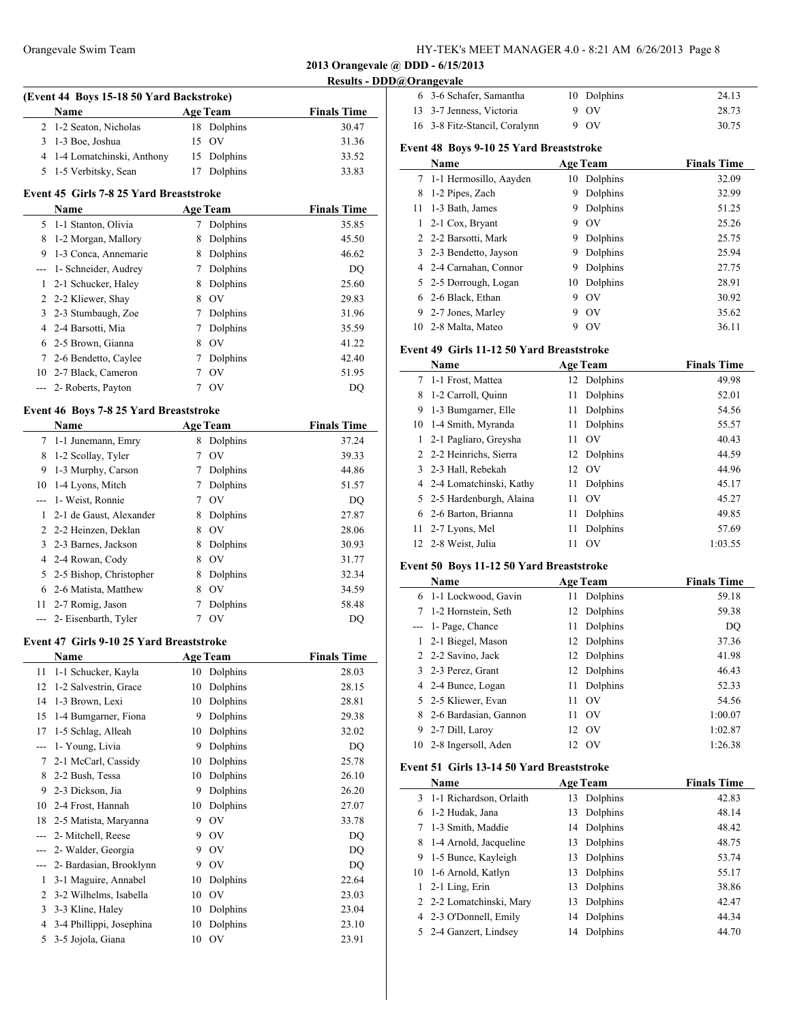### Orangevale Swim Team HY-TEK's MEET MANAGER 4.0 - 8:21 AM 6/26/2013 Page 8

**2013 Orangevale @ DDD - 6/15/2013**

**Results - DDD@Orangevale**

 $\sim$ 

| (Event 44 Boys 15-18 50 Yard Backstroke) |                 |                    |  |  |  |
|------------------------------------------|-----------------|--------------------|--|--|--|
| <b>Name</b>                              | <b>Age Team</b> | <b>Finals Time</b> |  |  |  |
| 2 1-2 Seaton, Nicholas                   | 18 Dolphins     | 30.47              |  |  |  |
| 3 1-3 Boe, Joshua                        | 15 OV           | 31.36              |  |  |  |
| 4 1-4 Lomatchinski, Anthony              | 15 Dolphins     | 33.52              |  |  |  |
| 5 1-5 Verbitsky, Sean                    | Dolphins        | 33.83              |  |  |  |

#### **Event 45 Girls 7-8 25 Yard Breaststroke**

|    | <b>Name</b>              |   | <b>Age Team</b> | <b>Finals Time</b> |
|----|--------------------------|---|-----------------|--------------------|
|    | 5 1-1 Stanton, Olivia    |   | Dolphins        | 35.85              |
| 8  | 1-2 Morgan, Mallory      | 8 | Dolphins        | 45.50              |
| 9  | 1-3 Conca, Annemarie     | 8 | Dolphins        | 46.62              |
|    | --- 1- Schneider, Audrey | 7 | Dolphins        | DQ                 |
|    | 2-1 Schucker, Haley      | 8 | Dolphins        | 25.60              |
|    | 2 2-2 Kliewer, Shay      | 8 | O <sub>V</sub>  | 29.83              |
|    | 3 2-3 Stumbaugh, Zoe     | 7 | Dolphins        | 31.96              |
|    | 4 2-4 Barsotti, Mia      |   | Dolphins        | 35.59              |
|    | 6 2-5 Brown, Gianna      | 8 | O <sub>V</sub>  | 41.22              |
| 7  | 2-6 Bendetto, Caylee     | 7 | Dolphins        | 42.40              |
| 10 | 2-7 Black, Cameron       | 7 | O <sub>V</sub>  | 51.95              |
|    | --- 2- Roberts, Payton   |   | O <sub>V</sub>  | DO                 |

### **Event 46 Boys 7-8 25 Yard Breaststroke**

|    | <b>Name</b>              |   | <b>Age Team</b> | <b>Finals Time</b> |
|----|--------------------------|---|-----------------|--------------------|
|    | 7 1-1 Junemann, Emry     | 8 | Dolphins        | 37.24              |
| 8  | 1-2 Scollay, Tyler       |   | <b>OV</b>       | 39.33              |
| 9  | 1-3 Murphy, Carson       |   | Dolphins        | 44.86              |
|    | 10 1-4 Lyons, Mitch      |   | Dolphins        | 51.57              |
|    | --- 1- Weist, Ronnie     |   | O <sub>V</sub>  | DO                 |
|    | 2-1 de Gaust, Alexander  | 8 | Dolphins        | 27.87              |
|    | 2 2-2 Heinzen, Deklan    | 8 | OV              | 28.06              |
|    | 3 2-3 Barnes, Jackson    | 8 | Dolphins        | 30.93              |
|    | 4 2-4 Rowan, Cody        | 8 | OV              | 31.77              |
| 5  | 2-5 Bishop, Christopher  | 8 | Dolphins        | 32.34              |
| 6  | 2-6 Matista, Matthew     | 8 | OV              | 34.59              |
| 11 | 2-7 Romig, Jason         |   | Dolphins        | 58.48              |
|    | --- 2- Eisenbarth, Tyler |   | OV              | DO                 |

#### **Event 47 Girls 9-10 25 Yard Breaststroke**

| <b>Name</b>              |    |           | <b>Finals Time</b> |
|--------------------------|----|-----------|--------------------|
| 1-1 Schucker, Kayla      | 10 | Dolphins  | 28.03              |
| 1-2 Salvestrin, Grace    | 10 | Dolphins  | 28.15              |
| 1-3 Brown, Lexi          | 10 | Dolphins  | 28.81              |
| 1-4 Bumgarner, Fiona     | 9  | Dolphins  | 29.38              |
| 1-5 Schlag, Alleah       | 10 | Dolphins  | 32.02              |
| 1- Young, Livia          | 9  | Dolphins  | D <sub>O</sub>     |
| 2-1 McCarl, Cassidy      | 10 | Dolphins  | 25.78              |
| 2-2 Bush, Tessa          | 10 | Dolphins  | 26.10              |
| 2-3 Dickson, Jia         | 9  | Dolphins  | 26.20              |
| 2-4 Frost, Hannah        | 10 | Dolphins  | 27.07              |
| 2-5 Matista, Maryanna    | 9  | OV        | 33.78              |
| 2- Mitchell, Reese       | 9  | OV        | DQ                 |
| 2- Walder, Georgia       | 9  | OV        | DQ                 |
| 2- Bardasian, Brooklynn  | 9  | OV        | DQ                 |
| 3-1 Maguire, Annabel     | 10 | Dolphins  | 22.64              |
| 3-2 Wilhelms, Isabella   | 10 | <b>OV</b> | 23.03              |
| 3-3 Kline, Haley         | 10 | Dolphins  | 23.04              |
| 3-4 Phillippi, Josephina | 10 | Dolphins  | 23.10              |
| 3-5 Jojola, Giana        | 10 | OV        | 23.91              |
|                          |    |           | <b>Age Team</b>    |

| 6 3-6 Schafer, Samantha       | 10 Dolphins | 24.13 |
|-------------------------------|-------------|-------|
| 13 3-7 Jenness, Victoria      | 9 OV        | 28.73 |
| 16 3-8 Fitz-Stancil, Coralynn | $9\quad0V$  | 30.75 |

### **Event 48 Boys 9-10 25 Yard Breaststroke**

|    | Name                     |    | <b>Age Team</b> | <b>Finals Time</b> |
|----|--------------------------|----|-----------------|--------------------|
|    | 7 1-1 Hermosillo, Aayden | 10 | Dolphins        | 32.09              |
| 8  | 1-2 Pipes, Zach          | 9  | Dolphins        | 32.99              |
| 11 | 1-3 Bath, James          | 9  | Dolphins        | 51.25              |
| 1. | 2-1 Cox, Bryant          | 9  | O <sub>V</sub>  | 25.26              |
|    | 2 2-2 Barsotti, Mark     | 9  | Dolphins        | 25.75              |
|    | 3 2-3 Bendetto, Jayson   | 9  | Dolphins        | 25.94              |
|    | 4 2-4 Carnahan, Connor   | 9  | Dolphins        | 27.75              |
|    | 5 2-5 Dorrough, Logan    | 10 | Dolphins        | 28.91              |
|    | 6 2-6 Black, Ethan       | 9  | OV              | 30.92              |
| 9. | 2-7 Jones, Marley        | 9  | O <sub>V</sub>  | 35.62              |
|    | 10 2-8 Malta, Mateo      | 9  | O <sub>V</sub>  | 36.11              |

## **Event 49 Girls 11-12 50 Yard Breaststroke**

|    | Name                      |     | <b>Age Team</b> | <b>Finals Time</b> |
|----|---------------------------|-----|-----------------|--------------------|
|    | 7 1-1 Frost, Mattea       |     | 12 Dolphins     | 49.98              |
| 8  | 1-2 Carroll, Quinn        | 11  | Dolphins        | 52.01              |
| 9  | 1-3 Bumgarner, Elle       | 11  | Dolphins        | 54.56              |
|    | 10 1-4 Smith, Myranda     | 11  | Dolphins        | 55.57              |
| 1  | 2-1 Pagliaro, Greysha     | 11  | $\alpha$        | 40.43              |
|    | 2 2-2 Heinrichs, Sierra   |     | 12 Dolphins     | 44.59              |
|    | 3 2-3 Hall, Rebekah       | 12. | - OV            | 44.96              |
|    | 4 2-4 Lomatchinski, Kathy | 11  | Dolphins        | 45.17              |
| 5. | 2-5 Hardenburgh, Alaina   | 11  | O <sub>V</sub>  | 45.27              |
| 6  | 2-6 Barton, Brianna       | 11  | Dolphins        | 49.85              |
|    | 11 2-7 Lyons, Mel         | 11  | Dolphins        | 57.69              |
|    | 12 2-8 Weist, Julia       | 11  | O <sub>V</sub>  | 1:03.55            |
|    |                           |     |                 |                    |

#### **Event 50 Boys 11-12 50 Yard Breaststroke**

| <b>Name</b>             | <b>Age Team</b> | <b>Finals Time</b> |
|-------------------------|-----------------|--------------------|
| 6 1-1 Lockwood, Gavin   | Dolphins<br>11  | 59.18              |
| 7 1-2 Hornstein, Seth   | 12 Dolphins     | 59.38              |
| $- - 1$ Page, Chance    | Dolphins<br>11  | DQ                 |
| 2-1 Biegel, Mason       | Dolphins<br>12  | 37.36              |
| 2 2-2 Savino, Jack      | Dolphins<br>12  | 41.98              |
| 3 2-3 Perez, Grant      | 12 Dolphins     | 46.43              |
| 4 2-4 Bunce, Logan      | Dolphins<br>11  | 52.33              |
| 5 2-5 Kliewer, Evan     | - OV<br>11      | 54.56              |
| 8 2-6 Bardasian, Gannon | - OV<br>11      | 1:00.07            |
| 9 2-7 Dill, Laroy       | 12 OV           | 1:02.87            |
| 10 2-8 Ingersoll, Aden  | - OV<br>12.     | 1:26.38            |

### **Event 51 Girls 13-14 50 Yard Breaststroke**

|    | Name                     | <b>Age Team</b> | <b>Finals Time</b> |
|----|--------------------------|-----------------|--------------------|
| 3  | 1-1 Richardson, Orlaith  | Dolphins<br>13  | 42.83              |
| 6  | 1-2 Hudak, Jana          | Dolphins<br>13  | 48.14              |
| 7  | 1-3 Smith, Maddie        | Dolphins<br>14  | 48.42              |
| 8  | 1-4 Arnold, Jacqueline   | Dolphins<br>13  | 48.75              |
| 9  | 1-5 Bunce, Kayleigh      | Dolphins<br>13  | 53.74              |
| 10 | 1-6 Arnold, Katlyn       | Dolphins<br>13  | 55.17              |
|    | 2-1 Ling, Erin           | Dolphins<br>13  | 38.86              |
|    | 2 2-2 Lomatchinski, Mary | Dolphins<br>13  | 42.47              |
|    | 4 2-3 O'Donnell, Emily   | 14 Dolphins     | 44.34              |
|    | 5 2-4 Ganzert, Lindsey   | Dolphins<br>14  | 44.70              |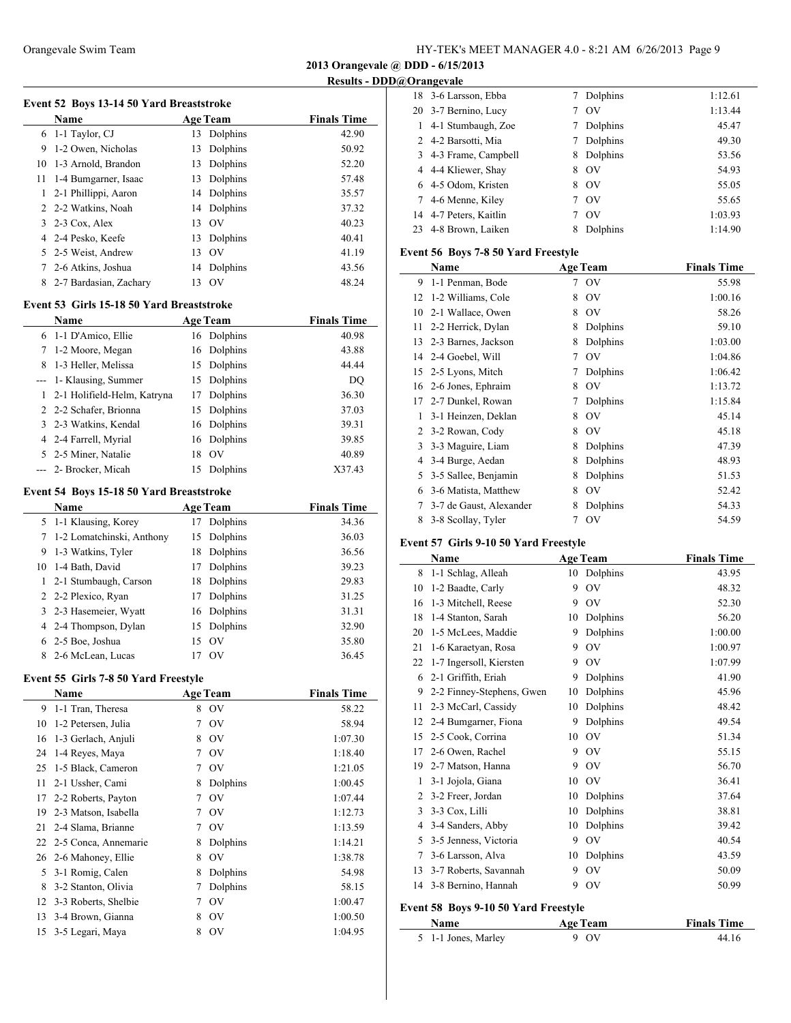**2013 Orangevale @ DDD - 6/15/2013**

**Results - DDD@Orangevale**

 $\frac{1}{2}$ 

#### **Event 52 Boys 13-14 50 Yard Breaststroke**

|    | <b>Name</b>                    |    | <b>Age Team</b> | <b>Finals Time</b> |
|----|--------------------------------|----|-----------------|--------------------|
|    | 6 1-1 Taylor, CJ               | 13 | Dolphins        | 42.90              |
| 9  | 1-2 Owen, Nicholas             | 13 | Dolphins        | 50.92              |
| 10 | 1-3 Arnold, Brandon            | 13 | Dolphins        | 52.20              |
|    | 11 1-4 Bumgarner, Isaac        | 13 | Dolphins        | 57.48              |
|    | 2-1 Phillippi, Aaron           |    | 14 Dolphins     | 35.57              |
|    | 2 2-2 Watkins, Noah            |    | 14 Dolphins     | 37.32              |
|    | $3\quad2-3 \text{ Cox}$ , Alex | 13 | OV              | 40.23              |
|    | 4 2-4 Pesko, Keefe             |    | 13 Dolphins     | 40.41              |
|    | 5 2-5 Weist, Andrew            | 13 | - OV            | 41.19              |
|    | 2-6 Atkins, Joshua             |    | 14 Dolphins     | 43.56              |
| 8  | 2-7 Bardasian, Zachary         | 13 | <b>OV</b>       | 48.24              |
|    |                                |    |                 |                    |

## **Event 53 Girls 15-18 50 Yard Breaststroke**

|   | <b>Name</b>                   |    | <b>Age Team</b> | <b>Finals Time</b> |
|---|-------------------------------|----|-----------------|--------------------|
|   | 6 1-1 D'Amico, Ellie          |    | 16 Dolphins     | 40.98              |
| 7 | 1-2 Moore, Megan              |    | 16 Dolphins     | 43.88              |
| 8 | 1-3 Heller, Melissa           | 15 | Dolphins        | 44.44              |
|   | --- 1- Klausing, Summer       | 15 | Dolphins        | DQ                 |
|   | 1 2-1 Holifield-Helm, Katryna | 17 | Dolphins        | 36.30              |
|   | 2 2-2 Schafer, Brionna        | 15 | Dolphins        | 37.03              |
|   | 3 2-3 Watkins, Kendal         | 16 | Dolphins        | 39.31              |
|   | 4 2-4 Farrell, Myrial         |    | 16 Dolphins     | 39.85              |
|   | 5 2-5 Miner, Natalie          | 18 | O <sub>V</sub>  | 40.89              |
|   | --- 2- Brocker, Micah         | 15 | Dolphins        | X37.43             |

#### **Event 54 Boys 15-18 50 Yard Breaststroke**

|    | <b>Name</b>                 | <b>Age Team</b> |          | <b>Finals Time</b> |
|----|-----------------------------|-----------------|----------|--------------------|
|    | 5 1-1 Klausing, Korey       | 17              | Dolphins | 34.36              |
|    | 7 1-2 Lomatchinski, Anthony | 15              | Dolphins | 36.03              |
| 9  | 1-3 Watkins, Tyler          | 18              | Dolphins | 36.56              |
| 10 | 1-4 Bath, David             | 17              | Dolphins | 39.23              |
|    | 1 2-1 Stumbaugh, Carson     | 18              | Dolphins | 29.83              |
|    | 2 2-2 Plexico, Ryan         | 17              | Dolphins | 31.25              |
|    | 3 2-3 Hasemeier, Wyatt      | 16 Dolphins     |          | 31.31              |
|    | 4 2-4 Thompson, Dylan       | 15 Dolphins     |          | 32.90              |
|    | 6 2-5 Boe, Joshua           | 15 OV           |          | 35.80              |
|    | 8 2-6 McLean, Lucas         | O <sub>V</sub>  |          | 36.45              |

#### **Event 55 Girls 7-8 50 Yard Freestyle**

|    | Name                    |   | <b>Age Team</b> | <b>Finals Time</b> |
|----|-------------------------|---|-----------------|--------------------|
| 9. | 1-1 Tran, Theresa       | 8 | <b>OV</b>       | 58.22              |
| 10 | 1-2 Petersen, Julia     |   | O <sub>V</sub>  | 58.94              |
| 16 | 1-3 Gerlach, Anjuli     | 8 | OV              | 1:07.30            |
| 24 | 1-4 Reyes, Maya         | 7 | <b>OV</b>       | 1:18.40            |
| 25 | 1-5 Black, Cameron      | 7 | $\rm OV$        | 1:21.05            |
| 11 | 2-1 Ussher, Cami        | 8 | Dolphins        | 1:00.45            |
| 17 | 2-2 Roberts, Payton     | 7 | $\rm OV$        | 1:07.44            |
| 19 | 2-3 Matson, Isabella    | 7 | <b>OV</b>       | 1:12.73            |
| 21 | 2-4 Slama, Brianne      | 7 | <b>OV</b>       | 1:13.59            |
|    | 22 2-5 Conca, Annemarie | 8 | Dolphins        | 1:14.21            |
|    | 26 2-6 Mahoney, Ellie   | 8 | OV              | 1:38.78            |
| 5  | 3-1 Romig, Calen        | 8 | Dolphins        | 54.98              |
| 8  | 3-2 Stanton, Olivia     | 7 | Dolphins        | 58.15              |
| 12 | 3-3 Roberts, Shelbie    | 7 | OV              | 1:00.47            |
| 13 | 3-4 Brown, Gianna       | 8 | OV              | 1:00.50            |
|    | 15 3-5 Legari, Maya     | 8 | OV              | 1:04.95            |

|    | 18 3-6 Larsson, Ebba   |   | Dolphins       | 1:12.61 |
|----|------------------------|---|----------------|---------|
|    | 20 3-7 Bernino, Lucy   |   | O <sub>V</sub> | 1:13.44 |
| 1. | 4-1 Stumbaugh, Zoe     |   | Dolphins       | 45.47   |
|    | 2 4-2 Barsotti, Mia    |   | Dolphins       | 49.30   |
|    | 3 4-3 Frame, Campbell  | 8 | Dolphins       | 53.56   |
|    | 4 4-4 Kliewer, Shay    | 8 | <b>OV</b>      | 54.93   |
|    | 6 4-5 Odom, Kristen    | 8 | OV             | 55.05   |
|    | 7 4-6 Menne, Kiley     | 7 | O <sub>V</sub> | 55.65   |
|    | 14 4-7 Peters, Kaitlin |   | O <sub>V</sub> | 1:03.93 |
| 23 | 4-8 Brown, Laiken      | 8 | Dolphins       | 1:14.90 |

#### **Event 56 Boys 7-8 50 Yard Freestyle**

|                | Name                    |   | <b>Age Team</b> | <b>Finals Time</b> |
|----------------|-------------------------|---|-----------------|--------------------|
| 9              | 1-1 Penman, Bode        | 7 | OV              | 55.98              |
| 12             | 1-2 Williams, Cole      | 8 | OV              | 1:00.16            |
| 10             | 2-1 Wallace, Owen       | 8 | OV              | 58.26              |
| 11             | 2-2 Herrick, Dylan      | 8 | Dolphins        | 59.10              |
| 13             | 2-3 Barnes, Jackson     | 8 | Dolphins        | 1:03.00            |
| 14             | 2-4 Goebel, Will        | 7 | OV              | 1:04.86            |
| 15             | 2-5 Lyons, Mitch        | 7 | Dolphins        | 1:06.42            |
| 16             | 2-6 Jones, Ephraim      | 8 | OV              | 1:13.72            |
| 17             | 2-7 Dunkel, Rowan       | 7 | Dolphins        | 1:15.84            |
| 1              | 3-1 Heinzen, Deklan     | 8 | O <sub>V</sub>  | 45.14              |
| $\overline{2}$ | 3-2 Rowan, Cody         | 8 | OV              | 45.18              |
| 3              | 3-3 Maguire, Liam       | 8 | Dolphins        | 47.39              |
| 4              | 3-4 Burge, Aedan        | 8 | Dolphins        | 48.93              |
| 5              | 3-5 Sallee, Benjamin    | 8 | Dolphins        | 51.53              |
| 6              | 3-6 Matista, Matthew    | 8 | OV              | 52.42              |
| 7              | 3-7 de Gaust, Alexander | 8 | Dolphins        | 54.33              |
| 8              | 3-8 Scollay, Tyler      | 7 | OV              | 54.59              |

### **Event 57 Girls 9-10 50 Yard Freestyle**

|    | Name                      |    | <b>Age Team</b> | <b>Finals Time</b> |
|----|---------------------------|----|-----------------|--------------------|
| 8  | 1-1 Schlag, Alleah        | 10 | Dolphins        | 43.95              |
| 10 | 1-2 Baadte, Carly         | 9  | OV              | 48.32              |
| 16 | 1-3 Mitchell, Reese       | 9  | OV              | 52.30              |
| 18 | 1-4 Stanton, Sarah        | 10 | Dolphins        | 56.20              |
| 20 | 1-5 McLees, Maddie        | 9  | Dolphins        | 1:00.00            |
| 21 | 1-6 Karaetyan, Rosa       | 9  | OV              | 1:00.97            |
| 22 | 1-7 Ingersoll, Kiersten   | 9  | O <sub>V</sub>  | 1:07.99            |
| 6  | 2-1 Griffith, Eriah       | 9  | Dolphins        | 41.90              |
| 9  | 2-2 Finney-Stephens, Gwen | 10 | Dolphins        | 45.96              |
| 11 | 2-3 McCarl, Cassidy       | 10 | Dolphins        | 48.42              |
| 12 | 2-4 Bumgarner, Fiona      | 9  | Dolphins        | 49.54              |
| 15 | 2-5 Cook, Corrina         | 10 | OV              | 51.34              |
| 17 | 2-6 Owen, Rachel          | 9  | OV              | 55.15              |
| 19 | 2-7 Matson, Hanna         | 9  | OV              | 56.70              |
| 1  | 3-1 Jojola, Giana         | 10 | O <sub>V</sub>  | 36.41              |
| 2  | 3-2 Freer, Jordan         | 10 | Dolphins        | 37.64              |
| 3  | 3-3 Cox, Lilli            | 10 | Dolphins        | 38.81              |
| 4  | 3-4 Sanders, Abby         | 10 | Dolphins        | 39.42              |
| 5  | 3-5 Jenness, Victoria     | 9  | OV              | 40.54              |
| 7  | 3-6 Larsson, Alva         | 10 | Dolphins        | 43.59              |
| 13 | 3-7 Roberts, Savannah     | 9  | OV              | 50.09              |
| 14 | 3-8 Bernino, Hannah       | 9  | OV              | 50.99              |
|    |                           |    |                 |                    |

### **Event 58 Boys 9-10 50 Yard Freestyle**

| <b>Name</b>         | <b>Age Team</b> | <b>Finals Time</b> |
|---------------------|-----------------|--------------------|
| 5 1-1 Jones, Marley | 9 OV            | 44.16              |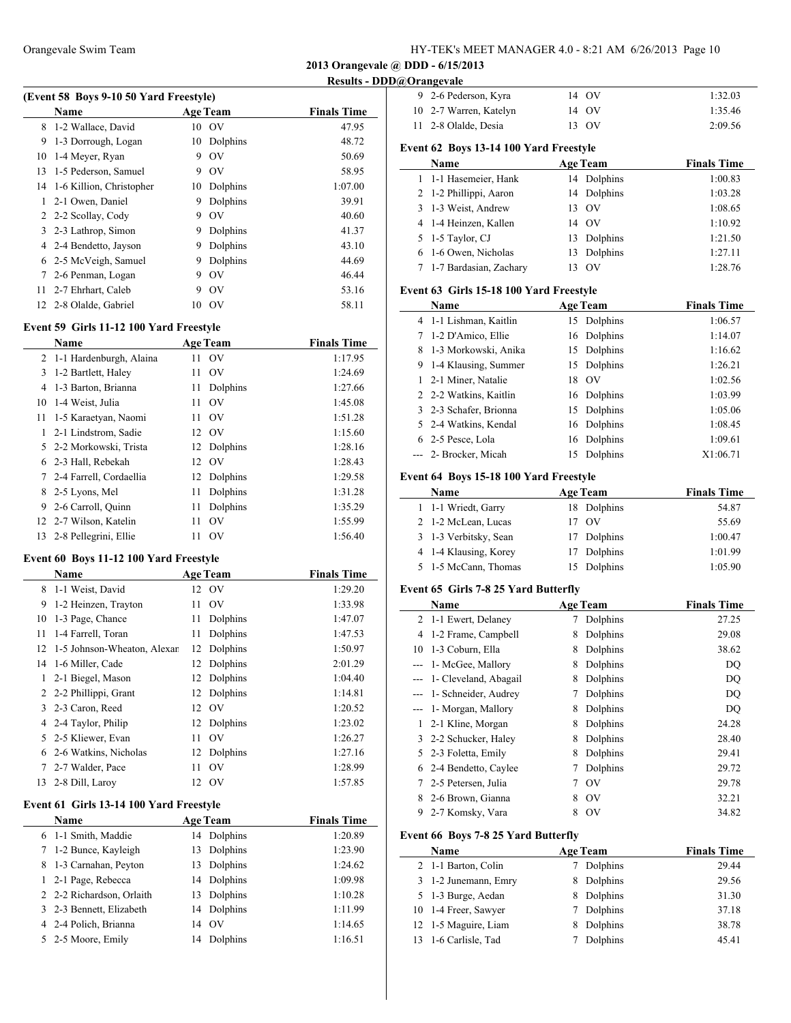### Orangevale Swim Team HY-TEK's MEET MANAGER 4.0 - 8:21 AM 6/26/2013 Page 10

2-6 Pederson, Kyra 14 OV 1:32.03

**2013 Orangevale @ DDD - 6/15/2013**

**Results - DDD@Orangevale**

| (Event 58 Boys 9-10 50 Yard Freestyle)   |                           |                    |  |  |  |
|------------------------------------------|---------------------------|--------------------|--|--|--|
| Name                                     | <b>Age Team</b>           | <b>Finals Time</b> |  |  |  |
| 8 1-2 Wallace, David                     | 10 OV                     | 47.95              |  |  |  |
| 9 1-3 Dorrough, Logan                    | 10 Dolphins               | 48.72              |  |  |  |
| 10 1-4 Meyer, Ryan                       | 9 OV                      | 50.69              |  |  |  |
| 13 1-5 Pederson, Samuel                  | 9 OV                      | 58.95              |  |  |  |
| $14.1 \leq V \cdot W \cdot \text{Hence}$ | $10 \quad \text{Dalsine}$ | 1.07.00            |  |  |  |

| 14 1-6 Killion, Christopher |   | 10 Dolphins    | 1:07.00 |
|-----------------------------|---|----------------|---------|
| 1 2-1 Owen, Daniel          | 9 | Dolphins       | 39.91   |
| 2 2-2 Scollay, Cody         | 9 | OV             | 40.60   |
| 3 2-3 Lathrop, Simon        | 9 | Dolphins       | 41.37   |
| 4 2-4 Bendetto, Jayson      | 9 | Dolphins       | 43.10   |
| 6 2-5 McVeigh, Samuel       | 9 | Dolphins       | 44.69   |
| 7 2-6 Penman, Logan         | 9 | OV             | 46.44   |
| 11 2-7 Ehrhart, Caleb       | 9 | O <sub>V</sub> | 53.16   |
| 12 2-8 Olalde, Gabriel      |   | 10 OV          | 58.11   |

## **Event 59 Girls 11-12 100 Yard Freestyle**

|             | <b>Name</b>               |    | <b>Age Team</b> | <b>Finals Time</b> |
|-------------|---------------------------|----|-----------------|--------------------|
|             | 2 1-1 Hardenburgh, Alaina | 11 | - OV            | 1:17.95            |
| 3           | 1-2 Bartlett, Haley       | 11 | O <sub>V</sub>  | 1:24.69            |
| 4           | 1-3 Barton, Brianna       | 11 | Dolphins        | 1:27.66            |
| 10          | 1-4 Weist, Julia          | 11 | O <sub>V</sub>  | 1:45.08            |
| 11          | 1-5 Karaetyan, Naomi      | 11 | O <sub>V</sub>  | 1:51.28            |
| 1           | 2-1 Lindstrom, Sadie      |    | 12 OV           | 1:15.60            |
|             | 5 2-2 Morkowski, Trista   |    | 12 Dolphins     | 1:28.16            |
|             | 6 2-3 Hall, Rebekah       |    | 12 OV           | 1:28.43            |
| $7^{\circ}$ | 2-4 Farrell, Cordaellia   | 12 | Dolphins        | 1:29.58            |
| 8           | 2-5 Lyons, Mel            | 11 | Dolphins        | 1:31.28            |
| 9.          | 2-6 Carroll, Quinn        | 11 | Dolphins        | 1:35.29            |
|             | 12 2-7 Wilson, Katelin    | 11 | O <sub>V</sub>  | 1:55.99            |
|             | 13 2-8 Pellegrini, Ellie  | 11 | O <sub>V</sub>  | 1:56.40            |

#### **Event 60 Boys 11-12 100 Yard Freestyle**

 $\overline{a}$ 

|    | Name                        |    | <b>Age Team</b> | <b>Finals Time</b> |
|----|-----------------------------|----|-----------------|--------------------|
| 8  | 1-1 Weist, David            |    | 12 OV           | 1:29.20            |
| 9  | 1-2 Heinzen, Trayton        | 11 | OV              | 1:33.98            |
| 10 | 1-3 Page, Chance            | 11 | Dolphins        | 1:47.07            |
| 11 | 1-4 Farrell, Toran          | 11 | Dolphins        | 1:47.53            |
| 12 | 1-5 Johnson-Wheaton, Alexar | 12 | Dolphins        | 1:50.97            |
| 14 | 1-6 Miller, Cade            | 12 | Dolphins        | 2:01.29            |
| 1  | 2-1 Biegel, Mason           | 12 | Dolphins        | 1:04.40            |
| 2  | 2-2 Phillippi, Grant        | 12 | Dolphins        | 1:14.81            |
|    | 3 2-3 Caron, Reed           | 12 | OV              | 1:20.52            |
|    | 4 2-4 Taylor, Philip        | 12 | Dolphins        | 1:23.02            |
| 5  | 2-5 Kliewer, Evan           | 11 | O <sub>V</sub>  | 1:26.27            |
| 6  | 2-6 Watkins, Nicholas       | 12 | Dolphins        | 1:27.16            |
| 7  | 2-7 Walder, Pace            | 11 | OV              | 1:28.99            |
| 13 | 2-8 Dill, Larov             |    | 12 OV           | 1:57.85            |

### **Event 61 Girls 13-14 100 Yard Freestyle**

| <b>Name</b>               | <b>Age Team</b> | <b>Finals Time</b> |
|---------------------------|-----------------|--------------------|
| 6 1-1 Smith, Maddie       | 14 Dolphins     | 1:20.89            |
| 7 1-2 Bunce, Kayleigh     | Dolphins<br>13  | 1:23.90            |
| 8 1-3 Carnahan, Peyton    | 13 Dolphins     | 1:24.62            |
| 1 2-1 Page, Rebecca       | 14 Dolphins     | 1:09.98            |
| 2 2-2 Richardson, Orlaith | Dolphins<br>13  | 1:10.28            |
| 3 2-3 Bennett, Elizabeth  | 14 Dolphins     | 1:11.99            |
| 4 2-4 Polich, Brianna     | 14 OV           | 1:14.65            |
| 5 2-5 Moore, Emily        | Dolphins<br>14  | 1:16.51            |

|                | 10 2-7 Warren, Katelyn                  |    | 14 OV           | 1:35.46            |
|----------------|-----------------------------------------|----|-----------------|--------------------|
| 11             | 2-8 Olalde, Desia                       |    | 13 OV           | 2:09.56            |
|                | Event 62 Boys 13-14 100 Yard Freestyle  |    |                 |                    |
|                | Name                                    |    | <b>Age Team</b> | <b>Finals Time</b> |
| 1              | 1-1 Hasemeier, Hank                     |    | 14 Dolphins     | 1:00.83            |
| 2              | 1-2 Phillippi, Aaron                    | 14 | Dolphins        | 1:03.28            |
| 3              | 1-3 Weist, Andrew                       |    | 13 OV           | 1:08.65            |
| 4              | 1-4 Heinzen, Kallen                     | 14 | <b>OV</b>       | 1:10.92            |
| 5              | 1-5 Taylor, CJ                          | 13 | Dolphins        | 1:21.50            |
| 6              | 1-6 Owen, Nicholas                      | 13 | Dolphins        | 1:27.11            |
| 7              | 1-7 Bardasian, Zachary                  |    | 13 OV           | 1:28.76            |
|                | Event 63 Girls 15-18 100 Yard Freestyle |    |                 |                    |
|                |                                         |    |                 |                    |
|                | Name                                    |    | <b>Age Team</b> | <b>Finals Time</b> |
|                | 4 1-1 Lishman, Kaitlin                  |    | 15 Dolphins     | 1:06.57            |
| 7              | 1-2 D'Amico, Ellie                      | 16 | Dolphins        | 1:14.07            |
| 8              | 1-3 Morkowski, Anika                    | 15 | Dolphins        | 1:16.62            |
| 9              | 1-4 Klausing, Summer                    | 15 | Dolphins        | 1:26.21            |
| 1              | 2-1 Miner, Natalie                      | 18 | O <sub>V</sub>  | 1:02.56            |
| $\overline{2}$ | 2-2 Watkins, Kaitlin                    | 16 | Dolphins        | 1:03.99            |
| 3              | 2-3 Schafer, Brionna                    | 15 | Dolphins        | 1:05.06            |
| 5              | 2-4 Watkins, Kendal                     | 16 | Dolphins        | 1:08.45            |
|                | 6 2-5 Pesce, Lola                       | 16 | Dolphins        | 1:09.61            |
|                | 2- Brocker, Micah                       | 15 | Dolphins        | X1:06.71           |
|                | Event 64 Boys 15-18 100 Yard Freestyle  |    |                 |                    |

| Name                  | <b>Age Team</b> | <b>Finals Time</b> |
|-----------------------|-----------------|--------------------|
| 1 1-1 Wriedt, Garry   | 18 Dolphins     | 54.87              |
| 2 1-2 McLean, Lucas   | 17 OV           | 55.69              |
| 3 1-3 Verbitsky, Sean | 17 Dolphins     | 1:00.47            |
| 4 1-4 Klausing, Korey | 17 Dolphins     | 1:01.99            |
| 5 1-5 McCann, Thomas  | 15 Dolphins     | 1:05.90            |

#### **Event 65 Girls 7-8 25 Yard Butterfly**

|              | Name                     |   | <b>Age Team</b>       | <b>Finals Time</b> |
|--------------|--------------------------|---|-----------------------|--------------------|
|              | 2 1-1 Ewert, Delaney     | 7 | Dolphins              | 27.25              |
| 4            | 1-2 Frame, Campbell      | 8 | Dolphins              | 29.08              |
|              | 10 1-3 Coburn, Ella      | 8 | Dolphins              | 38.62              |
|              | 1- McGee, Mallory        | 8 | Dolphins              | <b>DQ</b>          |
|              | 1- Cleveland, Abagail    | 8 | Dolphins              | DQ                 |
|              | --- 1- Schneider, Audrey | 7 | Dolphins              | <b>DQ</b>          |
|              | 1- Morgan, Mallory       | 8 | Dolphins              | DQ.                |
| $\mathbf{1}$ | 2-1 Kline, Morgan        | 8 | Dolphins              | 24.28              |
|              | 3 2-2 Schucker, Haley    | 8 | Dolphins              | 28.40              |
| 5            | 2-3 Foletta, Emily       | 8 | Dolphins              | 29.41              |
| 6            | 2-4 Bendetto, Caylee     |   | Dolphins              | 29.72              |
| $7^{\circ}$  | 2-5 Petersen, Julia      | 7 | $\overline{\text{O}}$ | 29.78              |
| 8            | 2-6 Brown, Gianna        | 8 | $\overline{\text{O}}$ | 32.21              |
| 9            | 2-7 Komsky, Vara         | 8 | OV                    | 34.82              |

### **Event 66 Boys 7-8 25 Yard Butterfly**

| Name                 | <b>Age Team</b> | <b>Finals Time</b> |
|----------------------|-----------------|--------------------|
| 2 1-1 Barton, Colin  | Dolphins        | 29.44              |
| 3 1-2 Junemann, Emry | Dolphins        | 29.56              |
| 5 1-3 Burge, Aedan   | Dolphins        | 31.30              |
| 10 1-4 Freer, Sawyer | Dolphins        | 37.18              |
| 12 1-5 Maguire, Liam | Dolphins        | 38.78              |
| 13 1-6 Carlisle, Tad | Dolphins        | 45.41              |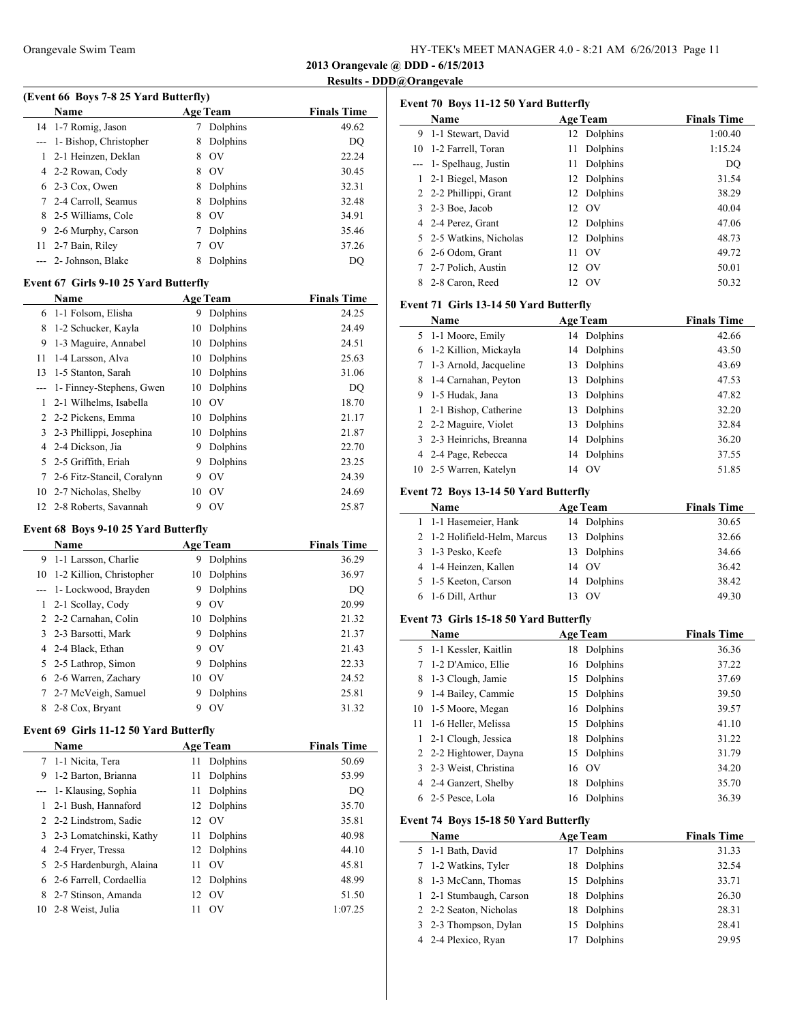| HY-TEK's MEET MANAGER 4.0 - 8:21 AM 6/26/2013 Page 11 |  |  |
|-------------------------------------------------------|--|--|
|-------------------------------------------------------|--|--|

**2013 Orangevale @ DDD - 6/15/2013**

## **Results - DDD@Orangevale**

J,

|     | (Event 66 Boys 7-8 25 Yard Butterfly) |                     |                    |
|-----|---------------------------------------|---------------------|--------------------|
|     | Name                                  | <b>Age Team</b>     | <b>Finals Time</b> |
|     | 14 1-7 Romig, Jason                   | Dolphins            | 49.62              |
|     | --- 1- Bishop, Christopher            | Dolphins<br>8       | DO                 |
| 1   | 2-1 Heinzen, Deklan                   | O <sub>V</sub><br>8 | 22.24              |
|     | 4 2-2 Rowan, Cody                     | O <sub>V</sub><br>8 | 30.45              |
|     | 6 2-3 Cox, Owen                       | Dolphins<br>8       | 32.31              |
|     | 7 2-4 Carroll, Seamus                 | Dolphins<br>8       | 32.48              |
| 8   | 2-5 Williams, Cole                    | O <sub>V</sub><br>8 | 34.91              |
| 9   | 2-6 Murphy, Carson                    | Dolphins            | 35.46              |
| 11- | 2-7 Bain, Riley                       | O <sub>V</sub>      | 37.26              |
|     | --- 2- Johnson, Blake                 | Dolphins            | DO                 |

### **Event 67 Girls 9-10 25 Yard Butterfly**

|    | <b>Name</b>                |    | <b>Age Team</b> | <b>Finals Time</b> |
|----|----------------------------|----|-----------------|--------------------|
| 6  | 1-1 Folsom, Elisha         | 9  | Dolphins        | 24.25              |
| 8  | 1-2 Schucker, Kayla        | 10 | Dolphins        | 24.49              |
| 9  | 1-3 Maguire, Annabel       | 10 | Dolphins        | 24.51              |
| 11 | 1-4 Larsson, Alva          | 10 | Dolphins        | 25.63              |
| 13 | 1-5 Stanton, Sarah         | 10 | Dolphins        | 31.06              |
|    | 1- Finney-Stephens, Gwen   | 10 | Dolphins        | DQ                 |
| 1  | 2-1 Wilhelms, Isabella     | 10 | O <sub>V</sub>  | 18.70              |
|    | 2 2-2 Pickens, Emma        | 10 | Dolphins        | 21.17              |
| 3  | 2-3 Phillippi, Josephina   | 10 | Dolphins        | 21.87              |
| 4  | 2-4 Dickson, Jia           | 9  | Dolphins        | 22.70              |
| 5. | 2-5 Griffith, Eriah        | 9  | Dolphins        | 23.25              |
| 7  | 2-6 Fitz-Stancil, Coralynn | 9  | O <sub>V</sub>  | 24.39              |
| 10 | 2-7 Nicholas, Shelby       | 10 | - OV            | 24.69              |
|    | 12 2-8 Roberts, Savannah   | 9  | OV              | 25.87              |

### **Event 68 Boys 9-10 25 Yard Butterfly**

|    | <b>Name</b>              |    | <b>Age Team</b> | <b>Finals Time</b> |
|----|--------------------------|----|-----------------|--------------------|
|    | 9 1-1 Larsson, Charlie   | 9  | Dolphins        | 36.29              |
| 10 | 1-2 Killion, Christopher | 10 | Dolphins        | 36.97              |
|    | --- 1- Lockwood, Brayden | 9  | Dolphins        | DQ                 |
|    | 1 2-1 Scollay, Cody      | 9  | O <sub>V</sub>  | 20.99              |
|    | 2 2-2 Carnahan, Colin    | 10 | Dolphins        | 21.32              |
|    | 3 2-3 Barsotti, Mark     | 9  | Dolphins        | 21.37              |
|    | 4 2-4 Black, Ethan       | 9  | O <sub>V</sub>  | 21.43              |
|    | 5 2-5 Lathrop, Simon     | 9  | Dolphins        | 22.33              |
|    | 6 2-6 Warren, Zachary    | 10 | O <sub>V</sub>  | 24.52              |
|    | 7 2-7 McVeigh, Samuel    | 9  | Dolphins        | 25.81              |
| 8  | 2-8 Cox, Bryant          | Q  | O <sub>V</sub>  | 31.32              |
|    |                          |    |                 |                    |

### **Event 69 Girls 11-12 50 Yard Butterfly**

|    | <b>Name</b>               |    | <b>Age Team</b> | <b>Finals Time</b> |
|----|---------------------------|----|-----------------|--------------------|
|    | 7 1-1 Nicita, Tera        |    | 11 Dolphins     | 50.69              |
| 9  | 1-2 Barton, Brianna       | 11 | Dolphins        | 53.99              |
|    | --- 1- Klausing, Sophia   | 11 | Dolphins        | DO                 |
|    | 2-1 Bush, Hannaford       |    | 12 Dolphins     | 35.70              |
|    | 2 2-2 Lindstrom, Sadie    |    | 12 OV           | 35.81              |
|    | 3 2-3 Lomatchinski, Kathy |    | 11 Dolphins     | 40.98              |
|    | 4 2-4 Fryer, Tressa       |    | 12 Dolphins     | 44.10              |
|    | 5 2-5 Hardenburgh, Alaina | 11 | $\alpha$        | 45.81              |
| 6. | 2-6 Farrell, Cordaellia   |    | 12 Dolphins     | 48.99              |
| 8  | 2-7 Stinson, Amanda       | 12 | $\alpha$        | 51.50              |
|    | 10 2-8 Weist, Julia       | 11 | O <sub>V</sub>  | 1:07.25            |

| Event 70 Boys 11-12 50 Yard Butterfly |                         |                      |                    |  |  |  |
|---------------------------------------|-------------------------|----------------------|--------------------|--|--|--|
|                                       | Name                    | <b>Age Team</b>      | <b>Finals Time</b> |  |  |  |
| 9.                                    | 1-1 Stewart, David      | 12 Dolphins          | 1:00.40            |  |  |  |
|                                       | 10 1-2 Farrell, Toran   | Dolphins<br>11       | 1:15.24            |  |  |  |
|                                       | 1- Spelhaug, Justin     | Dolphins<br>11       | DQ                 |  |  |  |
|                                       | 2-1 Biegel, Mason       | Dolphins<br>12       | 31.54              |  |  |  |
|                                       | 2 2-2 Phillippi, Grant  | 12 Dolphins          | 38.29              |  |  |  |
|                                       | 3 2-3 Boe, Jacob        | 12 OV                | 40.04              |  |  |  |
|                                       | 4 2-4 Perez, Grant      | Dolphins<br>12       | 47.06              |  |  |  |
|                                       | 5 2-5 Watkins, Nicholas | Dolphins<br>12       | 48.73              |  |  |  |
|                                       | 6 2-6 Odom, Grant       | O <sub>V</sub><br>11 | 49.72              |  |  |  |
|                                       | 2-7 Polich, Austin      | OV<br>12             | 50.01              |  |  |  |
| 8                                     | 2-8 Caron, Reed         | - OV<br>12           | 50.32              |  |  |  |

### **Event 71 Girls 13-14 50 Yard Butterfly**

|                | Name                                   |    | <b>Age Team</b> | <b>Finals Time</b> |
|----------------|----------------------------------------|----|-----------------|--------------------|
| 5              | 1-1 Moore, Emily                       |    | 14 Dolphins     | 42.66              |
| 6              | 1-2 Killion, Mickayla                  | 14 | Dolphins        | 43.50              |
| 7              | 1-3 Arnold, Jacqueline                 | 13 | Dolphins        | 43.69              |
| 8              | 1-4 Carnahan, Peyton                   | 13 | Dolphins        | 47.53              |
| 9              | 1-5 Hudak, Jana                        | 13 | Dolphins        | 47.82              |
| 1              | 2-1 Bishop, Catherine                  | 13 | Dolphins        | 32.20              |
| $\overline{2}$ | 2-2 Maguire, Violet                    | 13 | Dolphins        | 32.84              |
| 3              | 2-3 Heinrichs, Breanna                 | 14 | Dolphins        | 36.20              |
| $\overline{4}$ | 2-4 Page, Rebecca                      | 14 | Dolphins        | 37.55              |
| 10             | 2-5 Warren, Katelyn                    | 14 | OV              | 51.85              |
|                | Event 72 Boys 13-14 50 Yard Butterfly  |    |                 |                    |
|                | <b>Name</b>                            |    | <b>Age Team</b> | <b>Finals Time</b> |
| 1              | 1-1 Hasemeier, Hank                    | 14 | Dolphins        | 30.65              |
| 2              | 1-2 Holifield-Helm, Marcus             | 13 | Dolphins        | 32.66              |
| 3              | 1-3 Pesko, Keefe                       | 13 | Dolphins        | 34.66              |
| 4              | 1-4 Heinzen, Kallen                    | 14 | OV              | 36.42              |
| 5              | 1-5 Keeton, Carson                     | 14 | Dolphins        | 38.42              |
| 6              | 1-6 Dill, Arthur                       | 13 | OV              | 49.30              |
|                | Event 73 Girls 15-18 50 Yard Butterfly |    |                 |                    |
|                | Name                                   |    | <b>Age Team</b> | <b>Finals Time</b> |
| 5              | 1-1 Kessler, Kaitlin                   | 18 | Dolphins        | 36.36              |
| 7              | 1-2 D'Amico, Ellie                     | 16 | Dolphins        | 37.22              |
| 8              | 1-3 Clough, Jamie                      | 15 | Dolphins        | 37.69              |
| 9              | 1-4 Bailey, Cammie                     | 15 | Dolphins        | 39.50              |
| 10             | 1-5 Moore, Megan                       | 16 | Dolphins        | 39.57              |
| 11             | 1-6 Heller, Melissa                    | 15 | Dolphins        | 41.10              |
| $\mathbf{1}$   | 2-1 Clough, Jessica                    | 18 | Dolphins        | 31.22              |
| $\overline{c}$ | 2-2 Hightower, Dayna                   | 15 | Dolphins        | 31.79              |
| 3              | 2-3 Weist, Christina                   | 16 | OV              | 34.20              |
| 4              | 2-4 Ganzert, Shelby                    | 18 | Dolphins        | 35.70              |
| 6              | 2-5 Pesce, Lola                        | 16 | Dolphins        | 36.39              |
|                | Event 74 Boys 15-18 50 Yard Butterfly  |    |                 |                    |
|                | Name                                   |    | <b>Age Team</b> | <b>Finals Time</b> |
|                |                                        |    |                 |                    |

| гуаше                   | дее теаш    | гинатын типе |
|-------------------------|-------------|--------------|
| 5 1-1 Bath, David       | 17 Dolphins | 31.33        |
| 7 1-2 Watkins, Tyler    | 18 Dolphins | 32.54        |
| 8 1-3 McCann, Thomas    | 15 Dolphins | 33.71        |
| 1 2-1 Stumbaugh, Carson | 18 Dolphins | 26.30        |
| 2 2-2 Seaton, Nicholas  | 18 Dolphins | 28.31        |
| 3 2-3 Thompson, Dylan   | 15 Dolphins | 28.41        |
| 4 2-4 Plexico, Ryan     | 17 Dolphins | 29.95        |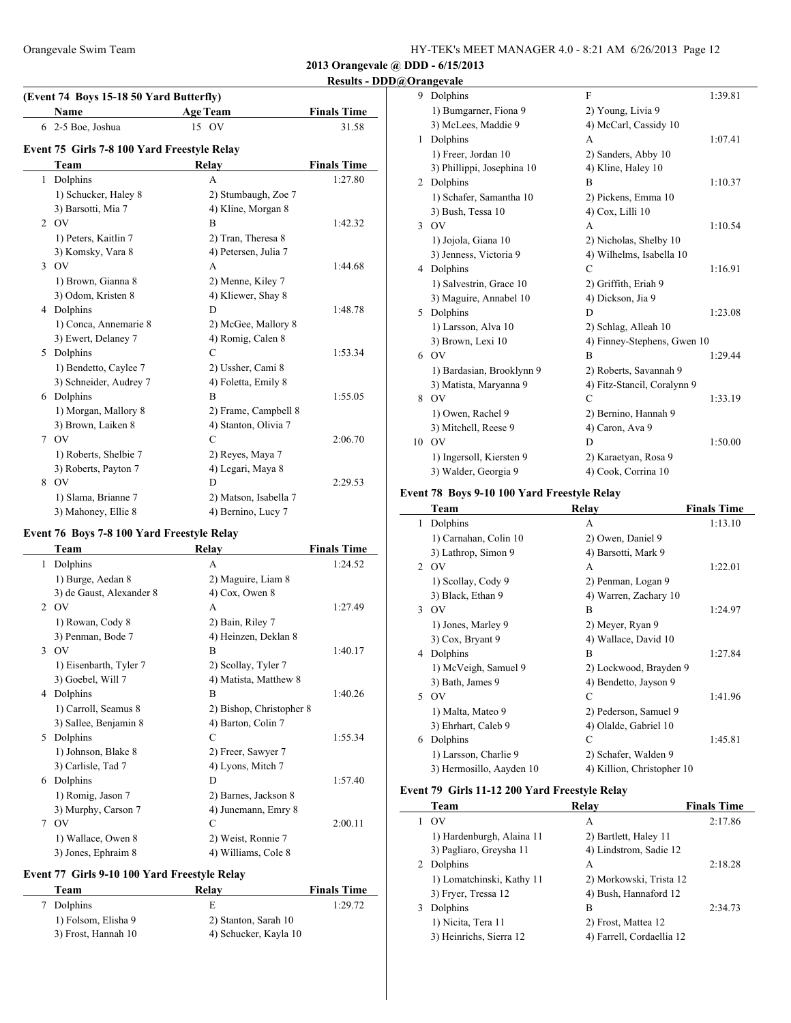## **Results - DDD@Orangevale**

|   | Name                                        | <b>Age Team</b>       | <b>Finals Time</b> |
|---|---------------------------------------------|-----------------------|--------------------|
|   | 6 2-5 Boe, Joshua                           | 15 OV                 | 31.58              |
|   | Event 75 Girls 7-8 100 Yard Freestyle Relay |                       |                    |
|   | Team                                        | Relay                 | <b>Finals Time</b> |
| 1 | Dolphins                                    | A                     | 1:27.80            |
|   | 1) Schucker, Haley 8                        | 2) Stumbaugh, Zoe 7   |                    |
|   | 3) Barsotti, Mia 7                          | 4) Kline, Morgan 8    |                    |
| 2 | OV                                          | B                     | 1:42.32            |
|   | 1) Peters, Kaitlin 7                        | 2) Tran, Theresa 8    |                    |
|   | 3) Komsky, Vara 8                           | 4) Petersen, Julia 7  |                    |
| 3 | OV                                          | A                     | 1:44.68            |
|   | 1) Brown, Gianna 8                          | 2) Menne, Kiley 7     |                    |
|   | 3) Odom, Kristen 8                          | 4) Kliewer, Shay 8    |                    |
| 4 | Dolphins                                    | D                     | 1:48.78            |
|   | 1) Conca, Annemarie 8                       | 2) McGee, Mallory 8   |                    |
|   | 3) Ewert, Delaney 7                         | 4) Romig, Calen 8     |                    |
| 5 | Dolphins                                    | C                     | 1:53.34            |
|   | 1) Bendetto, Caylee 7                       | 2) Ussher, Cami 8     |                    |
|   | 3) Schneider, Audrey 7                      | 4) Foletta, Emily 8   |                    |
| 6 | Dolphins                                    | R                     | 1:55.05            |
|   | 1) Morgan, Mallory 8                        | 2) Frame, Campbell 8  |                    |
|   | 3) Brown, Laiken 8                          | 4) Stanton, Olivia 7  |                    |
| 7 | OV                                          | C                     | 2:06.70            |
|   | 1) Roberts, Shelbie 7                       | 2) Reyes, Maya 7      |                    |
|   | 3) Roberts, Payton 7                        | 4) Legari, Maya 8     |                    |
| 8 | OV                                          | D                     | 2:29.53            |
|   | 1) Slama, Brianne 7                         | 2) Matson, Isabella 7 |                    |
|   | 3) Mahoney, Ellie 8                         | 4) Bernino, Lucy 7    |                    |
|   |                                             |                       |                    |

## **Event 76 Boys 7-8 100 Yard Freestyle Relay**

 $\overline{\phantom{a}}$ 

|               | Team                     | Relay                    | <b>Finals Time</b> |
|---------------|--------------------------|--------------------------|--------------------|
| 1             | Dolphins                 | A                        | 1:24.52            |
|               | 1) Burge, Aedan 8        | 2) Maguire, Liam 8       |                    |
|               | 3) de Gaust, Alexander 8 | $4)$ Cox, Owen 8         |                    |
| 2             | <b>OV</b>                | A                        | 1:27.49            |
|               | 1) Rowan, Cody 8         | 2) Bain, Riley 7         |                    |
|               | 3) Penman, Bode 7        | 4) Heinzen, Deklan 8     |                    |
| $\mathcal{E}$ | <b>OV</b>                | B                        | 1:40.17            |
|               | 1) Eisenbarth, Tyler 7   | 2) Scollay, Tyler 7      |                    |
|               | 3) Goebel, Will 7        | 4) Matista, Matthew 8    |                    |
| 4             | Dolphins                 | B                        | 1:40.26            |
|               | 1) Carroll, Seamus 8     | 2) Bishop, Christopher 8 |                    |
|               | 3) Sallee, Benjamin 8    | 4) Barton, Colin 7       |                    |
| 5             | Dolphins                 | C                        | 1:55.34            |
|               | 1) Johnson, Blake 8      | 2) Freer, Sawyer 7       |                    |
|               | 3) Carlisle, Tad 7       | 4) Lyons, Mitch 7        |                    |
| 6             | Dolphins                 | D                        | 1:57.40            |
|               | 1) Romig, Jason 7        | 2) Barnes, Jackson 8     |                    |
|               | 3) Murphy, Carson 7      | 4) Junemann, Emry 8      |                    |
| 7             | OV                       | C                        | 2:00.11            |
|               | 1) Wallace, Owen 8       | 2) Weist, Ronnie 7       |                    |
|               | 3) Jones, Ephraim 8      | 4) Williams, Cole 8      |                    |

## **Event 77 Girls 9-10 100 Yard Freestyle Relay**

| Team                | Relay                 | <b>Finals Time</b> |
|---------------------|-----------------------|--------------------|
| 7 Dolphins          | E                     | 1:29.72            |
| 1) Folsom, Elisha 9 | 2) Stanton, Sarah 10  |                    |
| 3) Frost, Hannah 10 | 4) Schucker, Kayla 10 |                    |

| 9  | Dolphins                   | F                           | 1:39.81 |
|----|----------------------------|-----------------------------|---------|
|    | 1) Bumgarner, Fiona 9      | 2) Young, Livia 9           |         |
|    | 3) McLees, Maddie 9        | 4) McCarl, Cassidy 10       |         |
| 1  | Dolphins                   | A                           | 1:07.41 |
|    | 1) Freer, Jordan 10        | 2) Sanders, Abby 10         |         |
|    | 3) Phillippi, Josephina 10 | 4) Kline, Haley 10          |         |
| 2  | Dolphins                   | B                           | 1:10.37 |
|    | 1) Schafer, Samantha 10    | 2) Pickens, Emma 10         |         |
|    | 3) Bush, Tessa 10          | 4) Cox, Lilli 10            |         |
| 3  | <b>OV</b>                  | A                           | 1:10.54 |
|    | 1) Jojola, Giana 10        | 2) Nicholas, Shelby 10      |         |
|    | 3) Jenness, Victoria 9     | 4) Wilhelms, Isabella 10    |         |
| 4  | Dolphins                   | C                           | 1:16.91 |
|    | 1) Salvestrin, Grace 10    | 2) Griffith, Eriah 9        |         |
|    | 3) Maguire, Annabel 10     | 4) Dickson, Jia 9           |         |
| 5  | Dolphins                   | D                           | 1:23.08 |
|    | 1) Larsson, Alva 10        | 2) Schlag, Alleah 10        |         |
|    | 3) Brown, Lexi 10          | 4) Finney-Stephens, Gwen 10 |         |
|    | 6 OV                       | B                           | 1:29.44 |
|    | 1) Bardasian, Brooklynn 9  | 2) Roberts, Savannah 9      |         |
|    | 3) Matista, Maryanna 9     | 4) Fitz-Stancil, Coralynn 9 |         |
| 8  | O <sub>V</sub>             | C                           | 1:33.19 |
|    | 1) Owen, Rachel 9          | 2) Bernino, Hannah 9        |         |
|    | 3) Mitchell, Reese 9       | 4) Caron, Ava 9             |         |
| 10 | O <sub>V</sub>             | D                           | 1:50.00 |
|    | 1) Ingersoll, Kiersten 9   | 2) Karaetyan, Rosa 9        |         |
|    | 3) Walder, Georgia 9       | 4) Cook, Corrina 10         |         |
|    |                            |                             |         |

## **Event 78 Boys 9-10 100 Yard Freestyle Relay**

|   | Team                     | Relay                      | <b>Finals Time</b> |
|---|--------------------------|----------------------------|--------------------|
| 1 | Dolphins                 | A                          | 1:13.10            |
|   | 1) Carnahan, Colin 10    | 2) Owen, Daniel 9          |                    |
|   | 3) Lathrop, Simon 9      | 4) Barsotti, Mark 9        |                    |
|   | 2 OV                     | A                          | 1:22.01            |
|   | 1) Scollay, Cody 9       | 2) Penman, Logan 9         |                    |
|   | 3) Black, Ethan 9        | 4) Warren, Zachary 10      |                    |
|   | 3 OV                     | B                          | 1:24.97            |
|   | 1) Jones, Marley 9       | 2) Meyer, Ryan 9           |                    |
|   | 3) Cox, Bryant 9         | 4) Wallace, David 10       |                    |
| 4 | Dolphins                 | B                          | 1:27.84            |
|   | 1) McVeigh, Samuel 9     | 2) Lockwood, Brayden 9     |                    |
|   | 3) Bath, James 9         | 4) Bendetto, Jayson 9      |                    |
|   | 5 OV                     | C                          | 1:41.96            |
|   | 1) Malta, Mateo 9        | 2) Pederson, Samuel 9      |                    |
|   | 3) Ehrhart, Caleb 9      | 4) Olalde, Gabriel 10      |                    |
| 6 | Dolphins                 | C                          | 1:45.81            |
|   | 1) Larsson, Charlie 9    | 2) Schafer, Walden 9       |                    |
|   | 3) Hermosillo, Aayden 10 | 4) Killion, Christopher 10 |                    |

## **Event 79 Girls 11-12 200 Yard Freestyle Relay**

|    | Team                      | Relay                     | <b>Finals Time</b> |
|----|---------------------------|---------------------------|--------------------|
| 1. | O <sub>V</sub>            | А                         | 2:17.86            |
|    | 1) Hardenburgh, Alaina 11 | 2) Bartlett, Haley 11     |                    |
|    | 3) Pagliaro, Greysha 11   | 4) Lindstrom, Sadie 12    |                    |
| 2  | Dolphins                  | A                         | 2:18.28            |
|    | 1) Lomatchinski, Kathy 11 | 2) Morkowski, Trista 12   |                    |
|    | 3) Fryer, Tressa 12       | 4) Bush, Hannaford 12     |                    |
| 3  | Dolphins                  | в                         | 2:34.73            |
|    | 1) Nicita, Tera 11        | 2) Frost, Mattea 12       |                    |
|    | 3) Heinrichs, Sierra 12   | 4) Farrell, Cordaellia 12 |                    |